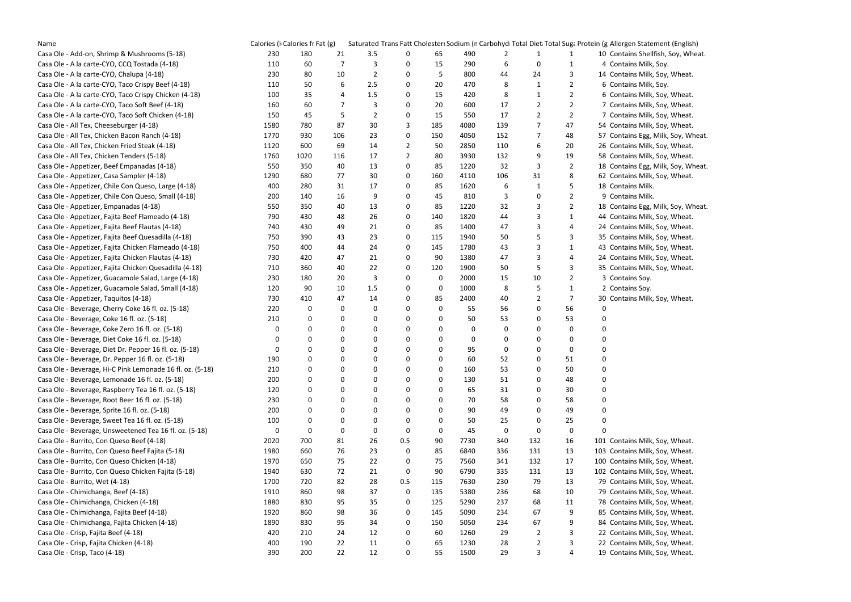| Name                                                      | Calories (I Calories fr Fat (g) |      |                  |                |                |             |      |             |                |                | Saturated Trans Fatt Cholester Sodium (n Carbohyd Total Diet Total Suga Protein (g Allergen Statement (English) |
|-----------------------------------------------------------|---------------------------------|------|------------------|----------------|----------------|-------------|------|-------------|----------------|----------------|-----------------------------------------------------------------------------------------------------------------|
| Casa Ole - Add-on, Shrimp & Mushrooms (5-18)              | 230                             | 180  | 21               | 3.5            | 0              | 65          | 490  | 2           | 1              |                | 10 Contains Shellfish, Soy, Whea                                                                                |
| Casa Ole - A la carte-CYO, CCQ Tostada (4-18)             | 110                             | 60   | 7                | 3              | 0              | 15          | 290  | 6           | $\mathbf 0$    | 1              | 4 Contains Milk, Soy.                                                                                           |
| Casa Ole - A la carte-CYO, Chalupa (4-18)                 | 230                             | 80   | 10               | $\overline{2}$ | 0              | 5           | 800  | 44          | 24             | 3              | 14 Contains Milk, Soy, Wheat.                                                                                   |
| Casa Ole - A la carte-CYO, Taco Crispy Beef (4-18)        | 110                             | 50   | 6                | 2.5            | 0              | 20          | 470  | 8           | 1              | $\overline{2}$ | 6 Contains Milk, Soy.                                                                                           |
| Casa Ole - A la carte-CYO, Taco Crispy Chicken (4-18)     | 100                             | 35   | 4                | 1.5            | 0              | 15          | 420  | 8           | 1              | 2              | 6 Contains Milk, Soy, Wheat.                                                                                    |
| Casa Ole - A la carte-CYO, Taco Soft Beef (4-18)          | 160                             | 60   | 7                | 3              | 0              | 20          | 600  | 17          | 2              | $\overline{2}$ | 7 Contains Milk, Soy, Wheat.                                                                                    |
| Casa Ole - A la carte-CYO, Taco Soft Chicken (4-18)       | 150                             | 45   | 5                | $\overline{2}$ | 0              | 15          | 550  | 17          | 2              | $\overline{2}$ | 7 Contains Milk, Soy, Wheat.                                                                                    |
| Casa Ole - All Tex, Cheeseburger (4-18)                   | 1580                            | 780  | 87               | 30             | 3              | 185         | 4080 | 139         | 7              | 47             | 54 Contains Milk, Soy, Wheat.                                                                                   |
| Casa Ole - All Tex, Chicken Bacon Ranch (4-18)            | 1770                            | 930  | 106              | 23             | 0              | 150         | 4050 | 152         | 7              | 48             | 57 Contains Egg, Milk, Soy, Whe                                                                                 |
| Casa Ole - All Tex, Chicken Fried Steak (4-18)            | 1120                            | 600  | 69               | 14             | 2              | 50          | 2850 | 110         | 6              | 20             | 26 Contains Milk, Soy, Wheat.                                                                                   |
| Casa Ole - All Tex, Chicken Tenders (5-18)                | 1760                            | 1020 | 116              | 17             | $\overline{2}$ | 80          | 3930 | 132         | 9              | 19             | 58 Contains Milk, Soy, Wheat.                                                                                   |
| Casa Ole - Appetizer, Beef Empanadas (4-18)               | 550                             | 350  | 40               | 13             | 0              | 85          | 1220 | 32          | 3              | $\overline{2}$ | 18 Contains Egg, Milk, Soy, Whe                                                                                 |
| Casa Ole - Appetizer, Casa Sampler (4-18)                 | 1290                            | 680  | 77               | 30             | 0              | 160         | 4110 | 106         | 31             | 8              | 62 Contains Milk, Soy, Wheat.                                                                                   |
| Casa Ole - Appetizer, Chile Con Queso, Large (4-18)       | 400                             | 280  | 31               | 17             | 0              | 85          | 1620 | 6           | 1              | 5              | 18 Contains Milk.                                                                                               |
| Casa Ole - Appetizer, Chile Con Queso, Small (4-18)       | 200                             | 140  | 16               | 9              | 0              | 45          | 810  | 3           | 0              | $\overline{2}$ | 9 Contains Milk.                                                                                                |
| Casa Ole - Appetizer, Empanadas (4-18)                    | 550                             | 350  | 40               | 13             | 0              | 85          | 1220 | 32          | 3              | $\overline{2}$ | 18 Contains Egg, Milk, Soy, Whe                                                                                 |
| Casa Ole - Appetizer, Fajita Beef Flameado (4-18)         | 790                             | 430  | 48               | 26             | 0              | 140         | 1820 | 44          | 3              | 1              | 44 Contains Milk, Soy, Wheat.                                                                                   |
| Casa Ole - Appetizer, Fajita Beef Flautas (4-18)          | 740                             | 430  | 49               | 21             | 0              | 85          | 1400 | 47          | 3              | 4              | 24 Contains Milk, Soy, Wheat.                                                                                   |
| Casa Ole - Appetizer, Fajita Beef Quesadilla (4-18)       | 750                             | 390  | 43               | 23             | 0              | 115         | 1940 | 50          | 5              | 3              | 35 Contains Milk, Soy, Wheat.                                                                                   |
| Casa Ole - Appetizer, Fajita Chicken Flameado (4-18)      | 750                             | 400  | 44               | 24             | 0              | 145         | 1780 | 43          | 3              | $\mathbf{1}$   | 43 Contains Milk, Soy, Wheat.                                                                                   |
| Casa Ole - Appetizer, Fajita Chicken Flautas (4-18)       | 730                             | 420  | 47               | 21             | 0              | 90          | 1380 | 47          | 3              | 4              | 24 Contains Milk, Soy, Wheat.                                                                                   |
| Casa Ole - Appetizer, Fajita Chicken Quesadilla (4-18)    | 710                             | 360  | 40               | 22             | 0              | 120         | 1900 | 50          | 5              | 3              | 35 Contains Milk, Soy, Wheat.                                                                                   |
| Casa Ole - Appetizer, Guacamole Salad, Large (4-18)       | 230                             | 180  | 20               | 3              | 0              | 0           | 2000 | 15          | 10             | $\mathbf{2}$   | 3 Contains Soy.                                                                                                 |
| Casa Ole - Appetizer, Guacamole Salad, Small (4-18)       | 120                             | 90   | 10               | 1.5            | 0              | 0           | 1000 | 8           | 5              | $\mathbf{1}$   | 2 Contains Soy.                                                                                                 |
| Casa Ole - Appetizer, Taquitos (4-18)                     | 730                             | 410  | 47               | 14             | 0              | 85          | 2400 | 40          | 2              | 7              | 30 Contains Milk, Soy, Wheat.                                                                                   |
| Casa Ole - Beverage, Cherry Coke 16 fl. oz. (5-18)        | 220                             | 0    | 0                | 0              | 0              | 0           | 55   | 56          | $\mathbf 0$    | 56             | 0                                                                                                               |
| Casa Ole - Beverage, Coke 16 fl. oz. (5-18)               | 210                             | 0    | $\boldsymbol{0}$ | 0              | 0              | 0           | 50   | 53          | 0              | 53             |                                                                                                                 |
| Casa Ole - Beverage, Coke Zero 16 fl. oz. (5-18)          | 0                               | 0    | 0                | 0              | 0              | $\Omega$    | 0    | 0           | 0              | 0              |                                                                                                                 |
| Casa Ole - Beverage, Diet Coke 16 fl. oz. (5-18)          | 0                               | 0    | 0                | 0              | 0              | 0           | 0    | 0           | 0              | 0              |                                                                                                                 |
| Casa Ole - Beverage, Diet Dr. Pepper 16 fl. oz. (5-18)    | 0                               | 0    | $\mathbf 0$      | 0              | 0              | 0           | 95   | 0           | 0              | 0              |                                                                                                                 |
| Casa Ole - Beverage, Dr. Pepper 16 fl. oz. (5-18)         | 190                             | 0    | 0                | 0              | 0              | 0           | 60   | 52          | 0              | 51             | 0                                                                                                               |
| Casa Ole - Beverage, Hi-C Pink Lemonade 16 fl. oz. (5-18) | 210                             | 0    | 0                | 0              | 0              | 0           | 160  | 53          | 0              | 50             | 0                                                                                                               |
| Casa Ole - Beverage, Lemonade 16 fl. oz. (5-18)           | 200                             | 0    | $\mathbf 0$      | 0              | 0              | 0           | 130  | 51          | 0              | 48             | $\pmb{0}$                                                                                                       |
| Casa Ole - Beverage, Raspberry Tea 16 fl. oz. (5-18)      | 120                             | 0    | 0                | 0              | 0              | 0           | 65   | 31          | 0              | 30             | $\pmb{0}$                                                                                                       |
| Casa Ole - Beverage, Root Beer 16 fl. oz. (5-18)          | 230                             | 0    | $\boldsymbol{0}$ | 0              | 0              | 0           | 70   | 58          | 0              | 58             | $\boldsymbol{0}$                                                                                                |
| Casa Ole - Beverage, Sprite 16 fl. oz. (5-18)             | 200                             | 0    | 0                | 0              | 0              | $\Omega$    | 90   | 49          | 0              | 49             | $\boldsymbol{0}$                                                                                                |
| Casa Ole - Beverage, Sweet Tea 16 fl. oz. (5-18)          | 100                             | 0    | 0                | 0              | 0              | 0           | 50   | 25          | 0              | 25             | 0                                                                                                               |
| Casa Ole - Beverage, Unsweetened Tea 16 fl. oz. (5-18)    | 0                               | 0    | $\mathbf 0$      | $\mathbf 0$    | 0              | $\mathbf 0$ | 45   | $\mathbf 0$ | 0              | $\mathbf 0$    | 0                                                                                                               |
| Casa Ole - Burrito, Con Queso Beef (4-18)                 | 2020                            | 700  | 81               | 26             | 0.5            | 90          | 7730 | 340         | 132            | 16             | 101 Contains Milk, Soy, Wheat.                                                                                  |
| Casa Ole - Burrito, Con Queso Beef Fajita (5-18)          | 1980                            | 660  | 76               | 23             | 0              | 85          | 6840 | 336         | 131            | 13             | 103 Contains Milk, Soy, Wheat.                                                                                  |
| Casa Ole - Burrito, Con Queso Chicken (4-18)              | 1970                            | 650  | 75               | 22             | 0              | 75          | 7560 | 341         | 132            | 17             | 100 Contains Milk, Soy, Wheat.                                                                                  |
| Casa Ole - Burrito, Con Queso Chicken Fajita (5-18)       | 1940                            | 630  | 72               | 21             | 0              | 90          | 6790 | 335         | 131            | 13             | 102 Contains Milk, Soy, Wheat.                                                                                  |
| Casa Ole - Burrito, Wet (4-18)                            | 1700                            | 720  | 82               | 28             | 0.5            | 115         | 7630 | 230         | 79             | 13             | 79 Contains Milk, Soy, Wheat.                                                                                   |
| Casa Ole - Chimichanga, Beef (4-18)                       | 1910                            | 860  | 98               | 37             | 0              | 135         | 5380 | 236         | 68             | 10             | 79 Contains Milk, Soy, Wheat.                                                                                   |
| Casa Ole - Chimichanga, Chicken (4-18)                    | 1880                            | 830  | 95               | 35             | 0              | 125         | 5290 | 237         | 68             | 11             | 78 Contains Milk, Soy, Wheat.                                                                                   |
| Casa Ole - Chimichanga, Fajita Beef (4-18)                | 1920                            | 860  | 98               | 36             | 0              | 145         | 5090 | 234         | 67             | 9              | 85 Contains Milk, Soy, Wheat.                                                                                   |
| Casa Ole - Chimichanga, Fajita Chicken (4-18)             | 1890                            | 830  | 95               | 34             | 0              | 150         | 5050 | 234         | 67             | 9              | 84 Contains Milk, Soy, Wheat.                                                                                   |
| Casa Ole - Crisp, Fajita Beef (4-18)                      | 420                             | 210  | 24               | 12             | 0              | 60          | 1260 | 29          | 2              | 3              | 22 Contains Milk, Soy, Wheat.                                                                                   |
| Casa Ole - Crisp, Fajita Chicken (4-18)                   | 400                             | 190  | 22               | 11             | 0              | 65          | 1230 | 28          | $\overline{2}$ | 3              | 22 Contains Milk, Soy, Wheat.                                                                                   |
| Casa Ole - Crisp, Taco (4-18)                             | 390                             | 200  | 22               | 12             | 0              | 55          | 1500 | 29          | 3              | 4              | 19 Contains Milk, Soy, Wheat.                                                                                   |

Shellfish, Soy, Wheat. Egg, Milk, Soy, Wheat. Egg, Milk, Soy, Wheat. Egg, Milk, Soy, Wheat.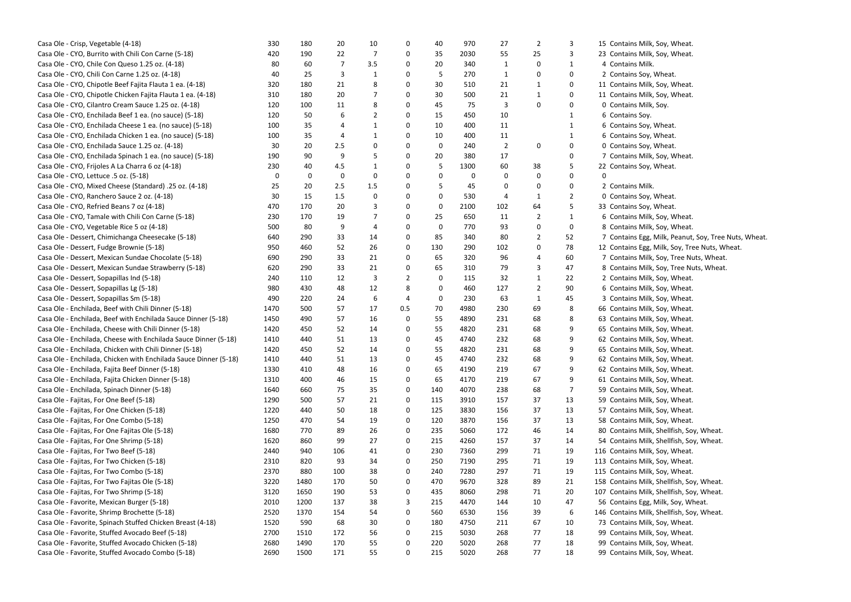| Casa Ole - Crisp, Vegetable (4-18)                               | 330  | 180  | 20  | 10  | 0   | 40  | 970  | 27             | 2           |              | 15 Contains Milk, Soy, Wheat.    |
|------------------------------------------------------------------|------|------|-----|-----|-----|-----|------|----------------|-------------|--------------|----------------------------------|
| Casa Ole - CYO, Burrito with Chili Con Carne (5-18)              | 420  | 190  | 22  | 7   | 0   | 35  | 2030 | 55             | 25          | 3            | 23 Contains Milk, Soy, Wheat.    |
| Casa Ole - CYO, Chile Con Queso 1.25 oz. (4-18)                  | 80   | 60   | 7   | 3.5 | 0   | 20  | 340  | 1              | 0           | 1            | 4 Contains Milk.                 |
| Casa Ole - CYO, Chili Con Carne 1.25 oz. (4-18)                  | 40   | 25   | 3   | 1   | 0   | 5   | 270  | 1              | 0           | 0            | 2 Contains Soy, Wheat.           |
| Casa Ole - CYO, Chipotle Beef Fajita Flauta 1 ea. (4-18)         | 320  | 180  | 21  | 8   | 0   | 30  | 510  | 21             | 1           | 0            | 11 Contains Milk, Soy, Wheat.    |
| Casa Ole - CYO, Chipotle Chicken Fajita Flauta 1 ea. (4-18)      | 310  | 180  | 20  |     | 0   | 30  | 500  | 21             | 1           | $\mathbf{0}$ | 11 Contains Milk, Soy, Wheat.    |
| Casa Ole - CYO, Cilantro Cream Sauce 1.25 oz. (4-18)             | 120  | 100  | 11  | 8   | 0   | 45  | 75   | 3              | $\Omega$    | 0            | 0 Contains Milk, Soy.            |
| Casa Ole - CYO, Enchilada Beef 1 ea. (no sauce) (5-18)           | 120  | 50   | 6   | 2   | 0   | 15  | 450  | 10             |             |              | 6 Contains Soy.                  |
| Casa Ole - CYO, Enchilada Cheese 1 ea. (no sauce) (5-18)         | 100  | 35   | 4   |     | 0   | 10  | 400  | 11             |             |              | 6 Contains Soy, Wheat.           |
| Casa Ole - CYO, Enchilada Chicken 1 ea. (no sauce) (5-18)        | 100  | 35   | 4   | 1   | 0   | 10  | 400  | 11             |             |              | 6 Contains Soy, Wheat.           |
| Casa Ole - CYO, Enchilada Sauce 1.25 oz. (4-18)                  | 30   | 20   | 2.5 | 0   | 0   | 0   | 240  | $\overline{2}$ | $\mathbf 0$ | 0            | 0 Contains Soy, Wheat.           |
| Casa Ole - CYO, Enchilada Spinach 1 ea. (no sauce) (5-18)        | 190  | 90   | 9   | 5   | 0   | 20  | 380  | 17             |             |              | 7 Contains Milk, Soy, Wheat.     |
| Casa Ole - CYO, Frijoles A La Charra 6 oz (4-18)                 | 230  | 40   | 4.5 |     | 0   | 5   | 1300 | 60             | 38          |              | 22 Contains Soy, Wheat.          |
| Casa Ole - CYO, Lettuce .5 oz. (5-18)                            | 0    | 0    | 0   | 0   | 0   | 0   | 0    | 0              | 0           | $\mathbf{0}$ | <sup>0</sup>                     |
| Casa Ole - CYO, Mixed Cheese (Standard) .25 oz. (4-18)           | 25   | 20   | 2.5 | 1.5 | 0   | 5   | 45   | 0              | 0           | 0            | 2 Contains Milk.                 |
| Casa Ole - CYO, Ranchero Sauce 2 oz. (4-18)                      | 30   | 15   | 1.5 | 0   | 0   | 0   | 530  | 4              | 1           | 2            | 0 Contains Soy, Wheat.           |
| Casa Ole - CYO, Refried Beans 7 oz (4-18)                        | 470  | 170  | 20  | 3   | 0   | 0   | 2100 | 102            | 64          | 5            | 33 Contains Soy, Wheat.          |
| Casa Ole - CYO, Tamale with Chili Con Carne (5-18)               | 230  | 170  | 19  | 7   | 0   | 25  | 650  | 11             | 2           | 1            | 6 Contains Milk, Soy, Wheat.     |
| Casa Ole - CYO, Vegetable Rice 5 oz (4-18)                       | 500  | 80   | 9   | 4   | 0   | 0   | 770  | 93             | 0           | 0            | 8 Contains Milk, Soy, Wheat.     |
| Casa Ole - Dessert, Chimichanga Cheesecake (5-18)                | 640  | 290  | 33  | 14  | 0   | 85  | 340  | 80             | 2           | 52           | 7 Contains Egg, Milk, Peanut,    |
| Casa Ole - Dessert, Fudge Brownie (5-18)                         | 950  | 460  | 52  | 26  | 0   | 130 | 290  | 102            | 0           | 78           | 12 Contains Egg, Milk, Soy, Tre  |
| Casa Ole - Dessert, Mexican Sundae Chocolate (5-18)              | 690  | 290  | 33  | 21  | 0   | 65  | 320  | 96             | 4           | 60           | 7 Contains Milk, Soy, Tree Nu    |
| Casa Ole - Dessert, Mexican Sundae Strawberry (5-18)             | 620  | 290  | 33  | 21  | 0   | 65  | 310  | 79             | 3           | 47           | 8 Contains Milk, Soy, Tree Nu    |
| Casa Ole - Dessert, Sopapillas Ind (5-18)                        | 240  | 110  | 12  | 3   | 2   | 0   | 115  | 32             | 1           | 22           | 2 Contains Milk, Soy, Wheat.     |
| Casa Ole - Dessert, Sopapillas Lg (5-18)                         | 980  | 430  | 48  | 12  | 8   | 0   | 460  | 127            | 2           | 90           | 6 Contains Milk, Soy, Wheat.     |
| Casa Ole - Dessert, Sopapillas Sm (5-18)                         | 490  | 220  | 24  | 6   | 4   | 0   | 230  | 63             | 1           | 45           | 3 Contains Milk, Soy, Wheat.     |
| Casa Ole - Enchilada, Beef with Chili Dinner (5-18)              | 1470 | 500  | 57  | 17  | 0.5 | 70  | 4980 | 230            | 69          | 8            | 66 Contains Milk, Soy, Wheat.    |
| Casa Ole - Enchilada, Beef with Enchilada Sauce Dinner (5-18)    | 1450 | 490  | 57  | 16  | 0   | 55  | 4890 | 231            | 68          | 8            | 63 Contains Milk, Soy, Wheat.    |
| Casa Ole - Enchilada, Cheese with Chili Dinner (5-18)            | 1420 | 450  | 52  | 14  | 0   | 55  | 4820 | 231            | 68          | 9            | 65 Contains Milk, Soy, Wheat.    |
| Casa Ole - Enchilada, Cheese with Enchilada Sauce Dinner (5-18)  | 1410 | 440  | 51  | 13  | 0   | 45  | 4740 | 232            | 68          | 9            | 62 Contains Milk, Soy, Wheat.    |
| Casa Ole - Enchilada, Chicken with Chili Dinner (5-18)           | 1420 | 450  | 52  | 14  | 0   | 55  | 4820 | 231            | 68          | 9            | 65 Contains Milk, Soy, Wheat.    |
| Casa Ole - Enchilada, Chicken with Enchilada Sauce Dinner (5-18) | 1410 | 440  | 51  | 13  |     | 45  | 4740 | 232            | 68          | 9            | 62 Contains Milk, Soy, Wheat.    |
|                                                                  |      |      |     |     | 0   |     |      | 219            |             |              | 62 Contains Milk, Soy, Wheat.    |
| Casa Ole - Enchilada, Fajita Beef Dinner (5-18)                  | 1330 | 410  | 48  | 16  | 0   | 65  | 4190 |                | 67          | 9            |                                  |
| Casa Ole - Enchilada, Fajita Chicken Dinner (5-18)               | 1310 | 400  | 46  | 15  | 0   | 65  | 4170 | 219            | 67          | 9<br>7       | 61 Contains Milk, Soy, Wheat.    |
| Casa Ole - Enchilada, Spinach Dinner (5-18)                      | 1640 | 660  | 75  | 35  | 0   | 140 | 4070 | 238            | 68          |              | 59 Contains Milk, Soy, Wheat.    |
| Casa Ole - Fajitas, For One Beef (5-18)                          | 1290 | 500  | 57  | 21  | 0   | 115 | 3910 | 157            | 37          | 13           | 59 Contains Milk, Soy, Wheat.    |
| Casa Ole - Fajitas, For One Chicken (5-18)                       | 1220 | 440  | 50  | 18  | 0   | 125 | 3830 | 156            | 37          | 13           | 57 Contains Milk, Soy, Wheat.    |
| Casa Ole - Fajitas, For One Combo (5-18)                         | 1250 | 470  | 54  | 19  | 0   | 120 | 3870 | 156            | 37          | 13           | 58 Contains Milk, Soy, Wheat.    |
| Casa Ole - Fajitas, For One Fajitas Ole (5-18)                   | 1680 | 770  | 89  | 26  | 0   | 235 | 5060 | 172            | 46          | 14           | 80 Contains Milk, Shellfish, So  |
| Casa Ole - Fajitas, For One Shrimp (5-18)                        | 1620 | 860  | 99  | 27  | 0   | 215 | 4260 | 157            | 37          | 14           | 54 Contains Milk, Shellfish, So  |
| Casa Ole - Fajitas, For Two Beef (5-18)                          | 2440 | 940  | 106 | 41  | 0   | 230 | 7360 | 299            | 71          | 19           | 116 Contains Milk, Soy, Wheat.   |
| Casa Ole - Fajitas, For Two Chicken (5-18)                       | 2310 | 820  | 93  | 34  | 0   | 250 | 7190 | 295            | 71          | 19           | 113 Contains Milk, Soy, Wheat.   |
| Casa Ole - Fajitas, For Two Combo (5-18)                         | 2370 | 880  | 100 | 38  | 0   | 240 | 7280 | 297            | 71          | 19           | 115 Contains Milk, Soy, Wheat.   |
| Casa Ole - Fajitas, For Two Fajitas Ole (5-18)                   | 3220 | 1480 | 170 | 50  | 0   | 470 | 9670 | 328            | 89          | 21           | 158 Contains Milk, Shellfish, So |
| Casa Ole - Fajitas, For Two Shrimp (5-18)                        | 3120 | 1650 | 190 | 53  | 0   | 435 | 8060 | 298            | 71          | 20           | 107 Contains Milk, Shellfish, So |
| Casa Ole - Favorite, Mexican Burger (5-18)                       | 2010 | 1200 | 137 | 38  | 3   | 215 | 4470 | 144            | 10          | 47           | 56 Contains Egg, Milk, Soy, Wl   |
| Casa Ole - Favorite, Shrimp Brochette (5-18)                     | 2520 | 1370 | 154 | 54  | 0   | 560 | 6530 | 156            | 39          | 6            | 146 Contains Milk, Shellfish, So |
| Casa Ole - Favorite, Spinach Stuffed Chicken Breast (4-18)       | 1520 | 590  | 68  | 30  | 0   | 180 | 4750 | 211            | 67          | 10           | 73 Contains Milk, Soy, Wheat.    |
| Casa Ole - Favorite, Stuffed Avocado Beef (5-18)                 | 2700 | 1510 | 172 | 56  | 0   | 215 | 5030 | 268            | 77          | 18           | 99 Contains Milk, Soy, Wheat.    |
| Casa Ole - Favorite, Stuffed Avocado Chicken (5-18)              | 2680 | 1490 | 170 | 55  | 0   | 220 | 5020 | 268            | 77          | 18           | 99 Contains Milk, Soy, Wheat.    |
| Casa Ole - Favorite, Stuffed Avocado Combo (5-18)                | 2690 | 1500 | 171 | 55  | 0   | 215 | 5020 | 268            | 77          | 18           | 99 Contains Milk, Soy, Wheat.    |

Egg, Milk, Peanut, Soy, Tree Nuts, Wheat. Egg, Milk, Soy, Tree Nuts, Wheat. Milk, Soy, Tree Nuts, Wheat. Milk, Soy, Tree Nuts, Wheat. Milk, Shellfish, Soy, Wheat. Milk, Shellfish, Soy, Wheat. Milk, Shellfish, Soy, Wheat. Milk, Shellfish, Soy, Wheat. Egg, Milk, Soy, Wheat. Milk, Shellfish, Soy, Wheat.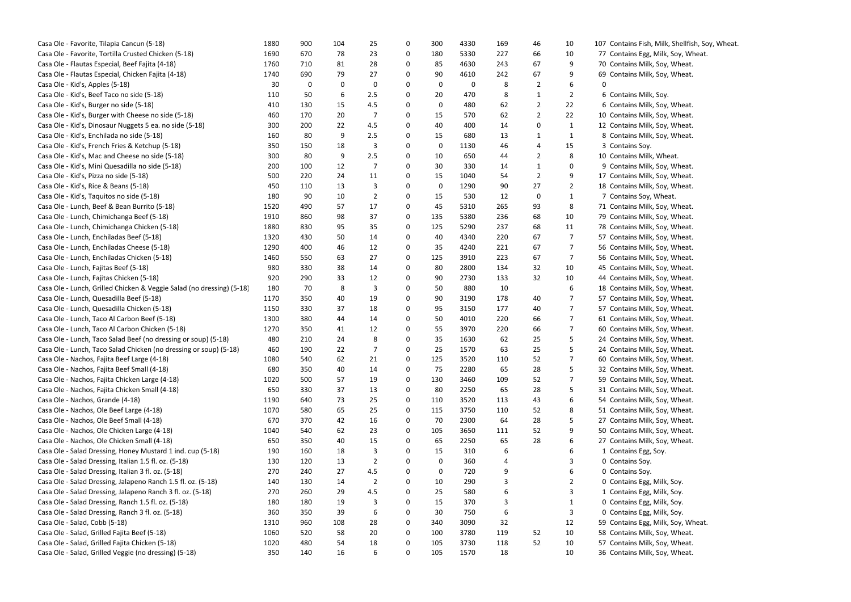| Casa Ole - Favorite, Tilapia Cancun (5-18)                            | 1880 | 900 | 104 | 25             | 0 | 300 | 4330 | 169 | 46 | 10             | 107 Contains F |
|-----------------------------------------------------------------------|------|-----|-----|----------------|---|-----|------|-----|----|----------------|----------------|
| Casa Ole - Favorite, Tortilla Crusted Chicken (5-18)                  | 1690 | 670 | 78  | 23             | 0 | 180 | 5330 | 227 | 66 | 10             | 77 Contains E  |
| Casa Ole - Flautas Especial, Beef Fajita (4-18)                       | 1760 | 710 | 81  | 28             | 0 | 85  | 4630 | 243 | 67 | 9              | 70 Contains M  |
| Casa Ole - Flautas Especial, Chicken Fajita (4-18)                    | 1740 | 690 | 79  | 27             | 0 | 90  | 4610 | 242 | 67 | 9              | 69 Contains M  |
| Casa Ole - Kid's, Apples (5-18)                                       | 30   | 0   | 0   | 0              | 0 | 0   | 0    | 8   | 2  | 6              | 0              |
| Casa Ole - Kid's, Beef Taco no side (5-18)                            | 110  | 50  | 6   | 2.5            | 0 | 20  | 470  | 8   | 1  | 2              | 6 Contains N   |
| Casa Ole - Kid's, Burger no side (5-18)                               | 410  | 130 | 15  | 4.5            | 0 | 0   | 480  | 62  | 2  | 22             | 6 Contains M   |
| Casa Ole - Kid's, Burger with Cheese no side (5-18)                   | 460  | 170 | 20  | 7              | 0 | 15  | 570  | 62  | 2  | 22             | 10 Contains M  |
| Casa Ole - Kid's, Dinosaur Nuggets 5 ea. no side (5-18)               | 300  | 200 | 22  | 4.5            | 0 | 40  | 400  | 14  | 0  | $\mathbf{1}$   | 12 Contains M  |
| Casa Ole - Kid's, Enchilada no side (5-18)                            | 160  | 80  | 9   | 2.5            | 0 | 15  | 680  | 13  | 1  | $\mathbf{1}$   | 8 Contains M   |
| Casa Ole - Kid's, French Fries & Ketchup (5-18)                       | 350  | 150 | 18  | 3              | 0 | 0   | 1130 | 46  | 4  | 15             | 3 Contains S   |
| Casa Ole - Kid's, Mac and Cheese no side (5-18)                       | 300  | 80  | 9   | 2.5            | 0 | 10  | 650  | 44  | 2  | 8              | 10 Contains M  |
| Casa Ole - Kid's, Mini Quesadilla no side (5-18)                      | 200  | 100 | 12  | 7              | 0 | 30  | 330  | 14  | 1  | 0              | 9 Contains M   |
| Casa Ole - Kid's, Pizza no side (5-18)                                | 500  | 220 | 24  | 11             | 0 | 15  | 1040 | 54  | 2  | 9              | 17 Contains M  |
| Casa Ole - Kid's, Rice & Beans (5-18)                                 | 450  | 110 | 13  | 3              | 0 | 0   | 1290 | 90  | 27 | 2              | 18 Contains M  |
| Casa Ole - Kid's, Taquitos no side (5-18)                             | 180  | 90  | 10  | 2              | 0 | 15  | 530  | 12  | 0  | 1              | 7 Contains S   |
| Casa Ole - Lunch, Beef & Bean Burrito (5-18)                          | 1520 | 490 | 57  | 17             | 0 | 45  | 5310 | 265 | 93 | 8              | 71 Contains M  |
| Casa Ole - Lunch, Chimichanga Beef (5-18)                             | 1910 | 860 | 98  | 37             | 0 | 135 | 5380 | 236 | 68 | 10             | 79 Contains M  |
| Casa Ole - Lunch, Chimichanga Chicken (5-18)                          | 1880 | 830 | 95  | 35             | 0 | 125 | 5290 | 237 | 68 | 11             | 78 Contains M  |
| Casa Ole - Lunch, Enchiladas Beef (5-18)                              | 1320 | 430 | 50  | 14             | 0 | 40  | 4340 | 220 | 67 | 7              | 57 Contains M  |
| Casa Ole - Lunch, Enchiladas Cheese (5-18)                            | 1290 | 400 | 46  | 12             | 0 | 35  | 4240 | 221 | 67 | 7              | 56 Contains M  |
| Casa Ole - Lunch, Enchiladas Chicken (5-18)                           | 1460 | 550 | 63  | 27             | 0 | 125 | 3910 | 223 | 67 | 7              | 56 Contains M  |
| Casa Ole - Lunch, Fajitas Beef (5-18)                                 | 980  | 330 | 38  | 14             | 0 | 80  | 2800 | 134 | 32 | 10             | 45 Contains M  |
| Casa Ole - Lunch, Fajitas Chicken (5-18)                              | 920  | 290 | 33  | 12             | 0 | 90  | 2730 | 133 | 32 | 10             | 44 Contains M  |
| Casa Ole - Lunch, Grilled Chicken & Veggie Salad (no dressing) (5-18) | 180  | 70  | 8   | 3              | 0 | 50  | 880  | 10  |    | 6              | 18 Contains N  |
| Casa Ole - Lunch, Quesadilla Beef (5-18)                              | 1170 | 350 | 40  | 19             | 0 | 90  | 3190 | 178 | 40 | 7              | 57 Contains N  |
| Casa Ole - Lunch, Quesadilla Chicken (5-18)                           | 1150 | 330 | 37  | 18             | 0 | 95  | 3150 | 177 | 40 | 7              | 57 Contains M  |
| Casa Ole - Lunch, Taco Al Carbon Beef (5-18)                          | 1300 | 380 | 44  | 14             | 0 | 50  | 4010 | 220 | 66 | 7              | 61 Contains M  |
| Casa Ole - Lunch, Taco Al Carbon Chicken (5-18)                       | 1270 | 350 | 41  | 12             | 0 | 55  | 3970 | 220 | 66 | 7              | 60 Contains M  |
| Casa Ole - Lunch, Taco Salad Beef (no dressing or soup) (5-18)        | 480  | 210 | 24  | 8              | 0 | 35  | 1630 | 62  | 25 | 5              | 24 Contains M  |
| Casa Ole - Lunch, Taco Salad Chicken (no dressing or soup) (5-18)     | 460  | 190 | 22  | 7              | 0 | 25  | 1570 | 63  | 25 | 5              | 24 Contains M  |
| Casa Ole - Nachos, Fajita Beef Large (4-18)                           | 1080 | 540 | 62  | 21             | 0 | 125 | 3520 | 110 | 52 | $\overline{7}$ | 60 Contains M  |
| Casa Ole - Nachos, Fajita Beef Small (4-18)                           | 680  | 350 | 40  | 14             | 0 | 75  | 2280 | 65  | 28 | 5              | 32 Contains M  |
| Casa Ole - Nachos, Fajita Chicken Large (4-18)                        | 1020 | 500 | 57  | 19             | 0 | 130 | 3460 | 109 | 52 | 7              | 59 Contains M  |
| Casa Ole - Nachos, Fajita Chicken Small (4-18)                        | 650  | 330 | 37  | 13             | 0 | 80  | 2250 | 65  | 28 | 5              | 31 Contains M  |
| Casa Ole - Nachos, Grande (4-18)                                      | 1190 | 640 | 73  | 25             | 0 | 110 | 3520 | 113 | 43 | 6              | 54 Contains M  |
| Casa Ole - Nachos, Ole Beef Large (4-18)                              | 1070 | 580 | 65  | 25             | 0 | 115 | 3750 | 110 | 52 | 8              | 51 Contains M  |
| Casa Ole - Nachos, Ole Beef Small (4-18)                              | 670  | 370 | 42  | 16             | 0 | 70  | 2300 | 64  | 28 | 5              | 27 Contains M  |
| Casa Ole - Nachos, Ole Chicken Large (4-18)                           | 1040 | 540 | 62  | 23             | 0 | 105 | 3650 | 111 | 52 | 9              | 50 Contains M  |
| Casa Ole - Nachos, Ole Chicken Small (4-18)                           | 650  | 350 | 40  | 15             | 0 | 65  | 2250 | 65  | 28 | 6              | 27 Contains M  |
| Casa Ole - Salad Dressing, Honey Mustard 1 ind. cup (5-18)            | 190  | 160 | 18  | 3              | 0 | 15  | 310  | 6   |    | 6              | 1 Contains E   |
| Casa Ole - Salad Dressing, Italian 1.5 fl. oz. (5-18)                 | 130  | 120 | 13  | $\overline{2}$ | 0 | 0   | 360  | 4   |    | 3              | 0 Contains S   |
| Casa Ole - Salad Dressing, Italian 3 fl. oz. (5-18)                   | 270  | 240 | 27  | 4.5            | 0 | 0   | 720  | 9   |    | 6              | 0 Contains S   |
| Casa Ole - Salad Dressing, Jalapeno Ranch 1.5 fl. oz. (5-18)          | 140  | 130 | 14  | 2              | 0 | 10  | 290  | 3   |    | 2              | 0 Contains E   |
| Casa Ole - Salad Dressing, Jalapeno Ranch 3 fl. oz. (5-18)            | 270  | 260 | 29  | 4.5            | 0 | 25  | 580  | 6   |    | 3              | 1 Contains E   |
| Casa Ole - Salad Dressing, Ranch 1.5 fl. oz. (5-18)                   | 180  | 180 | 19  | 3              | 0 | 15  | 370  | 3   |    | 1              | 0 Contains E   |
| Casa Ole - Salad Dressing, Ranch 3 fl. oz. (5-18)                     | 360  | 350 | 39  | 6              | 0 | 30  | 750  | 6   |    | 3              | 0 Contains E   |
| Casa Ole - Salad, Cobb (5-18)                                         | 1310 | 960 | 108 | 28             | 0 | 340 | 3090 | 32  |    | 12             | 59 Contains E  |
| Casa Ole - Salad, Grilled Fajita Beef (5-18)                          | 1060 | 520 | 58  | 20             | 0 | 100 | 3780 | 119 | 52 | 10             | 58 Contains M  |
| Casa Ole - Salad, Grilled Fajita Chicken (5-18)                       | 1020 | 480 | 54  | 18             | 0 | 105 | 3730 | 118 | 52 | 10             | 57 Contains M  |
| Casa Ole - Salad, Grilled Veggie (no dressing) (5-18)                 | 350  | 140 | 16  | 6              | 0 | 105 | 1570 | 18  |    | 10             | 36 Contains M  |
|                                                                       |      |     |     |                |   |     |      |     |    |                |                |

Fish, Milk, Shellfish, Soy, Wheat. Egg, Milk, Soy, Wheat. Milk, Soy, Wheat. Milk, Soy, Wheat. Milk, Soy. Milk, Soy, Wheat. Milk, Soy, Wheat. Milk, Soy, Wheat. Milk, Soy, Wheat. Soy. Milk, Wheat. Milk, Soy, Wheat. Milk, Soy, Wheat. Milk, Soy, Wheat. Soy, Wheat. Milk, Soy, Wheat. Milk, Soy, Wheat. Milk, Soy, Wheat. Milk, Soy, Wheat. Milk, Soy, Wheat. Milk, Soy, Wheat. Milk, Soy, Wheat. Milk, Soy, Wheat. Milk, Soy, Wheat. Milk, Soy, Wheat. Milk, Soy, Wheat. Milk, Soy, Wheat. Milk, Soy, Wheat. Milk, Soy, Wheat. Milk, Soy, Wheat. Milk, Soy, Wheat. Milk, Soy, Wheat. Milk, Soy, Wheat. Milk, Soy, Wheat. Milk, Soy, Wheat. Milk, Soy, Wheat. Milk, Soy, Wheat. Milk, Soy, Wheat. Milk, Soy, Wheat. Egg, Soy. Soy. Soy. Egg, Milk, Soy. Egg, Milk, Soy. Egg, Milk, Soy. Egg, Milk, Soy. Egg, Milk, Soy, Wheat. Milk, Soy, Wheat. Milk, Soy, Wheat. Milk, Soy, Wheat.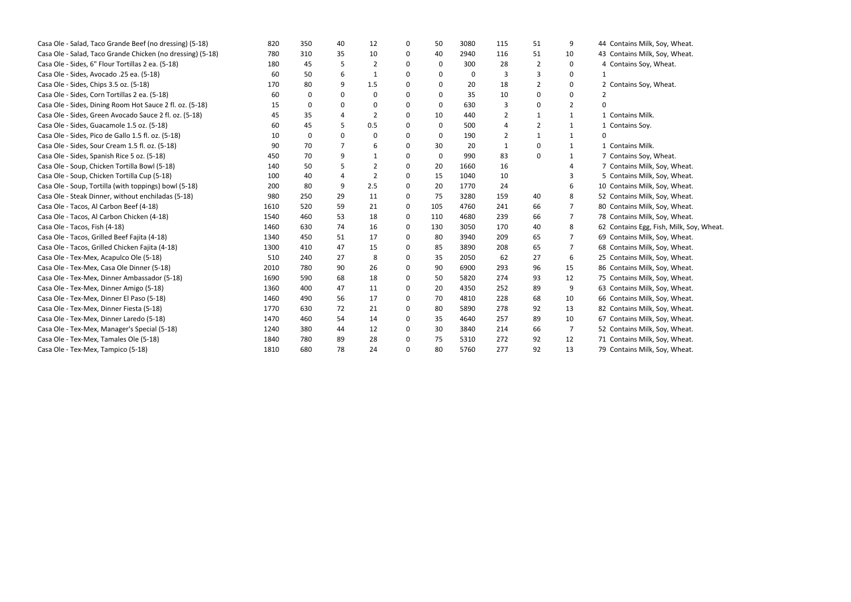| Casa Ole - Salad, Taco Grande Beef (no dressing) (5-18)    | 820  | 350      | 40       | 12  | $\Omega$ | 50  | 3080     | 115 | 51 | 9  | 44 Contains M |
|------------------------------------------------------------|------|----------|----------|-----|----------|-----|----------|-----|----|----|---------------|
| Casa Ole - Salad, Taco Grande Chicken (no dressing) (5-18) | 780  | 310      | 35       | 10  | 0        | 40  | 2940     | 116 | 51 | 10 | 43 Contains M |
| Casa Ole - Sides, 6" Flour Tortillas 2 ea. (5-18)          | 180  | 45       | 5        | 2   | 0        | 0   | 300      | 28  | 2  | 0  | 4 Contains S  |
| Casa Ole - Sides, Avocado .25 ea. (5-18)                   | 60   | 50       | 6        | 1   | 0        | 0   | $\Omega$ |     |    | 0  |               |
| Casa Ole - Sides, Chips 3.5 oz. (5-18)                     | 170  | 80       | 9        | 1.5 | 0        | 0   | 20       | 18  | 2  | 0  | 2 Contains S  |
| Casa Ole - Sides, Corn Tortillas 2 ea. (5-18)              | 60   | $\Omega$ | 0        | 0   | $\Omega$ | 0   | 35       | 10  | O  | 0  |               |
| Casa Ole - Sides, Dining Room Hot Sauce 2 fl. oz. (5-18)   | 15   | $\Omega$ | $\Omega$ | 0   | $\Omega$ | 0   | 630      |     | 0  | 2  |               |
| Casa Ole - Sides, Green Avocado Sauce 2 fl. oz. (5-18)     | 45   | 35       |          | 2   | 0        | 10  | 440      | 2   |    | 1  | 1 Contains M  |
| Casa Ole - Sides, Guacamole 1.5 oz. (5-18)                 | 60   | 45       | 5.       | 0.5 | $\Omega$ | 0   | 500      | 4   | 2  |    | 1 Contains S  |
| Casa Ole - Sides, Pico de Gallo 1.5 fl. oz. (5-18)         | 10   | 0        | $\Omega$ | 0   | $\Omega$ | 0   | 190      |     |    |    | 0             |
| Casa Ole - Sides, Sour Cream 1.5 fl. oz. (5-18)            | 90   | 70       |          | 6   | 0        | 30  | -20      | 1   | 0  | 1  | 1 Contains M  |
| Casa Ole - Sides, Spanish Rice 5 oz. (5-18)                | 450  | 70       | 9        | -1  | 0        | 0   | 990      | 83  | 0  |    | 7 Contains S  |
| Casa Ole - Soup, Chicken Tortilla Bowl (5-18)              | 140  | 50       | 5        | 2   | 0        | 20  | 1660     | 16  |    |    | 7 Contains M  |
| Casa Ole - Soup, Chicken Tortilla Cup (5-18)               | 100  | 40       | 4        | 2   | 0        | 15  | 1040     | 10  |    |    | 5 Contains M  |
| Casa Ole - Soup, Tortilla (with toppings) bowl (5-18)      | 200  | 80       | 9        | 2.5 | 0        | 20  | 1770     | 24  |    | 6  | 10 Contains M |
| Casa Ole - Steak Dinner, without enchiladas (5-18)         | 980  | 250      | 29       | 11  | 0        | 75  | 3280     | 159 | 40 | 8  | 52 Contains M |
| Casa Ole - Tacos, Al Carbon Beef (4-18)                    | 1610 | 520      | 59       | 21  | 0        | 105 | 4760     | 241 | 66 |    | 80 Contains M |
| Casa Ole - Tacos, Al Carbon Chicken (4-18)                 | 1540 | 460      | 53       | 18  | 0        | 110 | 4680     | 239 | 66 | 7  | 78 Contains M |
| Casa Ole - Tacos, Fish (4-18)                              | 1460 | 630      | 74       | 16  | 0        | 130 | 3050     | 170 | 40 | 8  | 62 Contains E |
| Casa Ole - Tacos, Grilled Beef Fajita (4-18)               | 1340 | 450      | 51       | 17  | 0        | 80  | 3940     | 209 | 65 |    | 69 Contains M |
| Casa Ole - Tacos, Grilled Chicken Fajita (4-18)            | 1300 | 410      | 47       | 15  | 0        | 85  | 3890     | 208 | 65 | 7  | 68 Contains M |
| Casa Ole - Tex-Mex, Acapulco Ole (5-18)                    | 510  | 240      | 27       | 8   | $\Omega$ | 35  | 2050     | 62  | 27 | 6  | 25 Contains M |
| Casa Ole - Tex-Mex, Casa Ole Dinner (5-18)                 | 2010 | 780      | 90       | 26  | 0        | 90  | 6900     | 293 | 96 | 15 | 86 Contains M |
| Casa Ole - Tex-Mex, Dinner Ambassador (5-18)               | 1690 | 590      | 68       | 18  | 0        | 50  | 5820     | 274 | 93 | 12 | 75 Contains M |
| Casa Ole - Tex-Mex, Dinner Amigo (5-18)                    | 1360 | 400      | 47       | 11  | $\Omega$ | 20  | 4350     | 252 | 89 | 9  | 63 Contains M |
| Casa Ole - Tex-Mex, Dinner El Paso (5-18)                  | 1460 | 490      | 56       | 17  | 0        | 70  | 4810     | 228 | 68 | 10 | 66 Contains M |
| Casa Ole - Tex-Mex, Dinner Fiesta (5-18)                   | 1770 | 630      | 72       | 21  | $\Omega$ | 80  | 5890     | 278 | 92 | 13 | 82 Contains M |
| Casa Ole - Tex-Mex, Dinner Laredo (5-18)                   | 1470 | 460      | 54       | 14  | 0        | 35  | 4640     | 257 | 89 | 10 | 67 Contains M |
| Casa Ole - Tex-Mex, Manager's Special (5-18)               | 1240 | 380      | 44       | 12  | 0        | 30  | 3840     | 214 | 66 | 7  | 52 Contains M |
| Casa Ole - Tex-Mex, Tamales Ole (5-18)                     | 1840 | 780      | 89       | 28  | 0        | 75  | 5310     | 272 | 92 | 12 | 71 Contains M |
| Casa Ole - Tex-Mex, Tampico (5-18)                         | 1810 | 680      | 78       | 24  | $\Omega$ | 80  | 5760     | 277 | 92 | 13 | 79 Contains M |
|                                                            |      |          |          |     |          |     |          |     |    |    |               |

Milk, Soy, Wheat. Milk, Soy, Wheat. Soy, Wheat. Soy, Wheat. Milk. Soy. Milk. Soy, Wheat. Milk, Soy, Wheat. Milk, Soy, Wheat. Milk, Soy, Wheat. Milk, Soy, Wheat. Milk, Soy, Wheat. Milk, Soy, Wheat. Egg, Fish, Milk, Soy, Wheat. Milk, Soy, Wheat. Milk, Soy, Wheat. Milk, Soy, Wheat. Milk, Soy, Wheat. Milk, Soy, Wheat. Milk, Soy, Wheat. Milk, Soy, Wheat. Milk, Soy, Wheat. Milk, Soy, Wheat. Milk, Soy, Wheat. Milk, Soy, Wheat. Milk, Soy, Wheat.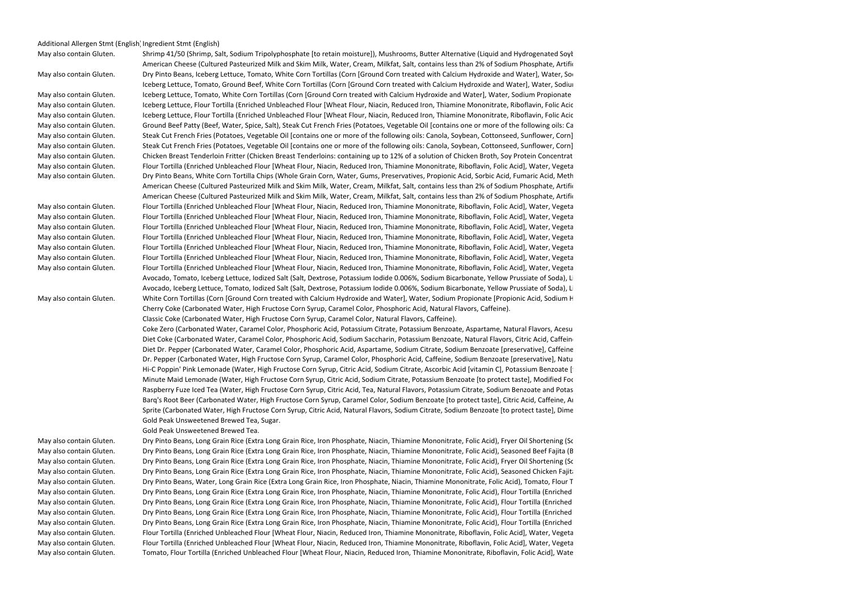## Additional Allergen Stmt (English) Ingredient Stmt (English)

May also contain Gluten. Shrimp 41/50 (Shrimp, Salt, Sodium Tripolyphosphate [to retain moisture]). Mushrooms, Butter Alternative (Liquid and Hydrogenated Soyle American Cheese (Cultured Pasteurized Milk and Skim Milk. Water, Cream, Milkfat, Salt, contains less than 2% of Sodium Phosphate, Artific May also contain Gluten. Dry Pinto Beans, Iceberg Lettuce, Tomato, White Corn Tortillas (Corn [Ground Corn treated with Calcium Hydroxide and Water], Water, Sor Iceberg Lettuce, Tomato, Ground Beef, White Corn Tortillas (Corn [Ground Corn treated with Calcium Hydroxide and Water], Water, Sodiur May also contain Gluten. Sanceberg Lettuce, Tomato, White Corn Tortillas (Corn [Ground Corn treated with Calcium Hydroxide and Water], Water, Sodium Propionate Sanceptiven. The May also contain Gluten. Sub-May also contain Gluten. <br>May also contain Gluten. Iceberg Lettuce, Flour Tortilla (Enriched Unbleached Flour [Wheat Flour, Niacin, Reduced Iron, Thiamine Mononitrate, Riboflavin, Folic Acic May also contain Gluten. <br>May also contain Gluten. Show the the test of Flour Tortilla (Enriched Unbleached Flour [Wheat Flour, Niacin, Reduced Iron, Thiamine Mononitrate, Riboflavin, Folic Acic May also contain Gluten. Ground Beef Patty (Beef, Water, Spice, Salt), Steak Cut French Fries (Potatoes, Vegetable Oil [contains one or more of the following oils: Ca May also contain Gluten. Steak Cut French Fries (Potatoes, Vegetable Oil [contains one or more of the following oils: Canola, Soybean, Cottonseed, Sunflower, Corn] May also contain Gluten. Steak Cut French Fries (Potatoes, Vegetable Oil [contains one or more of the following oils: Canola, Soybean, Cottonseed, Sunflower, Corn] May also contain Gluten. Chicken Breast Tenderloin Fritter (Chicken Breast Tenderloins: containing up to 12% of a solution of Chicken Broth, Soy Protein Concentrat May also contain Gluten. <br>May also contain Gluten. The Flour Tortilla (Enriched Unbleached Flour [Wheat Flour, Niacin, Reduced Iron, Thiamine Mononitrate, Riboflavin, Folic Acid], Water, Vegeta May also contain Gluten. 

Sampulption By Pinto Beans, White Corn Tortilla Chips (Whole Grain Corn, Water, Gums, Preservatives, Propionic Acid, Sorbic Acid, Fumaric Acid, Meth American Cheese (Cultured Pasteurized Milk and Skim Milk, Water, Cream, Milkfat, Salt, contains less than 2% of Sodium Phosphate, Artific American Cheese (Cultured Pasteurized Milk and Skim Milk, Water, Cream, Milkfat, Salt, contains less than 2% of Sodium Phosphate, Artific May also contain Gluten. <br>May also contain Gluten. The Flour Tortilla (Enriched Unbleached Flour [Wheat Flour, Niacin, Reduced Iron, Thiamine Mononitrate, Riboflavin, Folic Acid], Water, Vegeta May also contain Gluten. <br>May also contain Gluten. The Flour Tortilla (Enriched Unbleached Flour [Wheat Flour, Niacin, Reduced Iron, Thiamine Mononitrate, Riboflavin, Folic Acid], Water, Vegeta May also contain Gluten. <br>May also contain Gluten. The Flour Tortilla (Enriched Unbleached Flour [Wheat Flour, Niacin, Reduced Iron, Thiamine Mononitrate, Riboflavin, Folic Acid], Water, Vegeta May also contain Gluten. <br>May also contain Gluten. The Flour Tortilla (Enriched Unbleached Flour [Wheat Flour, Niacin, Reduced Iron, Thiamine Mononitrate, Riboflavin, Folic Acid], Water, Vegeta May also contain Gluten. <br>May also contain Gluten. The Flour Tortilla (Enriched Unbleached Flour [Wheat Flour, Niacin, Reduced Iron, Thiamine Mononitrate, Riboflavin, Folic Acid], Water, Vegeta May also contain Gluten. <br>May also contain Gluten. The Flour Tortilla (Enriched Unbleached Flour [Wheat Flour, Niacin, Reduced Iron, Thiamine Mononitrate, Riboflavin, Folic Acid], Water, Vegeta May also contain Gluten. <br>May also contain Gluten. The Flour Tortilla (Enriched Unbleached Flour [Wheat Flour, Niacin, Reduced Iron, Thiamine Mononitrate, Riboflavin, Folic Acid], Water, Vegeta Avocado, Tomato, Iceberg Lettuce, Iodized Salt (Salt, Dextrose, Potassium Iodide 0.006%, Sodium Bicarbonate, Yellow Prussiate of Soda), Li Avocado, Iceberg Lettuce, Tomato, Iodized Salt (Salt, Dextrose, Potassium Iodide 0.006%, Sodium Bicarbonate, Yellow Prussiate of Soda), Li May also contain Gluten. 
White Corn Tortillas (Corn [Ground Corn treated with Calcium Hydroxide and Water], Water, Sodium Propionate [Propionic Acid, Sodium H Cherry Coke (Carbonated Water, High Fructose Corn Syrup, Caramel Color, Phosphoric Acid, Natural Flavors, Caffeine).

Coke Zero (Carbonated Water, Caramel Color, Phosphoric Acid, Potassium Citrate, Potassium Benzoate, Aspartame, Natural Flavors, Acesu Diet Coke (Carbonated Water, Caramel Color, Phosphoric Acid, Sodium Saccharin, Potassium Benzoate, Natural Flavors, Citric Acid, Caffeine Diet Dr. Pepper (Carbonated Water, Caramel Color, Phosphoric Acid, Aspartame, Sodium Citrate, Sodium Benzoate [preservative], Caffeine Dr. Pepper (Carbonated Water, High Fructose Corn Syrup, Caramel Color, Phosphoric Acid, Caffeine, Sodium Benzoate [preservative], Natu Hi-C Poppin' Pink Lemonade (Water, High Fructose Corn Syrup, Citric Acid, Sodium Citrate, Ascorbic Acid [vitamin C], Potassium Benzoate [1] Minute Maid Lemonade (Water, High Fructose Corn Syrup, Citric Acid, Sodium Citrate, Potassium Benzoate [to protect taste], Modified Foc Raspberry Fuze Iced Tea (Water, High Fructose Corn Syrup, Citric Acid, Tea, Natural Flavors, Potassium Citrate, Sodium Benzoate and Potas Barq's Root Beer (Carbonated Water, High Fructose Corn Syrup, Caramel Color, Sodium Benzoate [to protect taste], Citric Acid, Caffeine, Artificial and Natural Flavors, Acacia). The Natural Flavors, Acacia, Acacia, Acacacia Sprite (Carbonated Water, High Fructose Corn Syrup, Citric Acid, Natural Flavors, Sodium Citrate, Sodium Benzoate [to protect taste], Dime Gold Peak Unsweetened Brewed Tea, Sugar.

May also contain Gluten. Dry Pinto Beans, Long Grain Rice (Extra Long Grain Rice, Iron Phosphate, Niacin, Thiamine Mononitrate, Folic Acid), Fryer Oil Shortening (Soybean Oil, TBHQ and Citric Acid [added to protect flavor], Dimethylpolysiloxane [anti-foaming agent]), Tomato, Flour Tortilla (Enriched Unbleached Flour [Wheat Flour, Niacin, Reduced Iron, Thiamine Mononitrate, Riboflavin, Folic Acid], Water, Vegetable Shortening [contains one or more of the following: Palm Oil and/or Corn Oil], contains 2% or less of the following: Salt, Aluminum Free Leavening [Sodium Acid Pyrophosphate, Sodium Bicarbonate, Corn Starch, Monocalcium Phosphate], Wheat Protein, Calcium Propionate and Sorbic Acid [preservatives], Fumaric Acid, Gum Blend, Dough Conditioner [Lecithin, Mono and Diglycerides, Sodium Metabisulphite]), Ground Beef, American Cheese (Cultured Pasteurized Milk and Skim Milk, Water, Cream, Milkfat, Salt, contains less than 2% of Sodium Phosphate, Artificial Color, Enzymes), Water, All-Purpose Flour (Bleached Wheat Flour, Malted Barley Flour, Niacin, Iron, Thiamin Mononitrate, Riboflavin, Folic Acid), Onion, European Butter Blend (Vegetable Oil Blend [Palm and Palm Kernel Oil, Soybean Oil), Skim Milk, Butter [Cream, Salt], contains less than 2% of Natural Flavor, Vitamin A Palmitate Added, Beta Carotene [color], Salt), Iodized Salt (Salt, Dextrose, Potassium Iodide 0.006%, Sodium Bicarbonate, Yellow Prussiate of Soda), Bell Peppers, Iceberg Lettuce, Red Bell Pepper, Celery, Carrots, Paprika (Paprika, Silicon Dioxide [added to make free flowing]), Chicken Base (Salt, Wheat Flour, Sugar, Monosodium Glutamate, Onion Powder, Rendered Chicken Fat, Cooked Chicken Powder with Natural Flavor, Hydrolyzed Soy Protein, Turmeric, Disodium Guanylate, Disodium Inosinate, Xanthan Gum, Anti-caking Agent), Cilantro, Jalapeno, Sliced Jalapeno Peppers (Jalapeno Peppers, Vinegar, Iodized Salt), Cayenne Pepper, Garlic Powder, Blackened Redfish Seasoning (Salt, Garlic, Paprika, Black Pepper, Onion, White Pepper, Thyme, Red Pepper, Oregano), Lime Juice, Black Pepper, Cumin, Oregano, Red Chili Peppers. May also contain Gluten. 

Samp Pinto Beans, Long Grain Rice (Extra Long Grain Rice, Iron Phosphate, Niacin, Thiamine Mononitrate, Folic Acid), Seasoned Beef Fajita (B May also contain Gluten. Dry Pinto Beans, Long Grain Rice (Extra Long Grain Rice, Iron Phosphate, Niacin, Thiamine Mononitrate, Folic Acid), Fryer Oil Shortening (Soybean Oil, TBHQ and Citric Acid [added to protect flavor], Dimethylpolysiloxane [anti-foaming agent]), Flour Tortilla (Enriched Unbleached Flour [Wheat Flour, Niacin, Reduced Iron, Thiamine Mononitrate, Riboflavin, Folic Acid], Water, Vegetable Shortening [contains one or more of the following: Palm Oil and/or Corn Oil], contains 2% or less of the following: Salt, Aluminum Free Leavening [Sodium Acid Pyrophosphate, Sodium Bicarbonate, Corn Starch, Monocalcium Phosphate], Wheat Protein, Calcium Propionate and Sorbic Acid [preservatives], Fumaric Acid, Gum Blend, Dough Conditioner [Lecithin, Mono and Diglycerides, Sodium Metabisulphite]), American Cheese (Cultured Pasteurized Milk and Skim Milk, Water, Cream, Milkfat, Salt, contains less than 2% of Sodium Phosphate, Artificial Color, Enzymes), Tomato, Boneless Chicken Breast Pieces (Boneless Chicken Breast Pieces, contains up to 30% of a solution of: Water, Salt, Vinegar, Sodium Tripolyphosphate), Water, All-Purpose Flour (Bleached Wheat Flour, Malted Barley Flour, Niacin, Iron, Thiamin Mononitrate, Riboflavin, Folic Acid), European Butter Blend (Vegetable Oil Blend [Palm and Palm Kernel Oil, Soybean Oil), Skim Milk, Butter [Cream, Salt], contains less than 2% of Natural Flavor, Vitamin A Palmitate Added, Beta Carotene [color], Salt), Onion, Tomato Chopped Crushed Puree (Fresh Vine-Ripened Chopped Tomatoes, Salt, Citric Acid), Iodized Salt (Salt, Dextrose, Potassium Iodide 0.006%, Sodium Bicarbonate, Yellow Prussiate of Soda), Red Bell Pepper, Bell Peppers, Iceberg Lettuce, Celery, Carrots, Chicken Base (Salt, Wheat Flour, Sugar, Monosodium Glutamate, Onion Powder, Rendered Chicken Fat, Cooked Chicken Powder with Natural Flavor, Hydrolyzed Soy Protein, Turmeric, Disodium Guanylate, Disodium Inosinate, Xanthan Gum, Anti-caking Agent), Paprika (Paprika, Silicon Dioxide [added to make free flowing]), Cilantro, Jalapeno, Sliced Jalapeno Peppers (Jalapeno Peppers, Vinegar, Iodized Salt), Tomato Crushed Heavy Concentrate (Fresh Vine-Ripened California Crushed Tomatoes, Salt, Citric Acid), Cayenne Pepper, Garlic Powder, Blackened Redfish Seasoning (Salt, Garlic, Paprika, Black Pepper, Onion, White Pepper, Thyme, Red Pepper, Oregano), Lime Juice, Black Pepper, Cumin, Oregano. May also contain Gluten. Dry Pinto Beans, Long Grain Rice (Extra Long Grain Rice, Iron Phosphate, Niacin, Thiamine Mononitrate, Folic Acid), Seasoned Chicken Fajita (Boneless Skinless Chicken Breast, containing up to 30% of a solution of: Water, Seasoning [Salt, Monosodium Glutamate, Spices, Garlic Powder, Onion Powder, Chili Powder, Citric Acid, Anti-caking Agent, Soybean Oil], Vinegar, Sodium Tripolyphosphate), Fryer Oil Shortening (Soybean Oil, TBHQ and Citric Acid [added to protect flavor], Dimethylpolysiloxane [anti-foaming agent]), Flour Tortilla (Enriched Unbleached Flour [Wheat Flour, Niacin, Reduced Iron, Thiamine Mononitrate, Riboflavin, Folic Acid], Water, Vegetable Shortening [contains one or more of the following: Palm Oil and/or Corn Oil], contains 2% or less of the following: Salt, Aluminum Free Leavening [Sodium Acid Pyrophosphate, Sodium Bicarbonate, Corn Starch, Monocalcium Phosphate], Wheat Protein, Calcium Propionate and Sorbic Acid [preservatives], Fumaric Acid, Gum Blend, Dough Conditioner [Lecithin, Mono and Diglycerides, Sodium Metabisulphite]), American Cheese (Cultured Pasteurized Milk and Skim Milk, Water, Cream, Milkfat, Salt, contains less than 2% of Sodium Phosphate, Artificial Color, Enzymes), Tomato, All-Purpose Flour (Bleached Wheat Flour, Malted Barley Flour, Niacin, Iron, Thiamin Mononitrate, Riboflavin, Folic Acid), Water, European Butter Blend (Vegetable Oil Blend [Palm and Palm Kernel Oil, Soybean Oil), Skim Milk, Butter [Cream, Salt], contains less than 2% of Natural Flavor, Vitamin A Palmitate Added, Beta Carotene [color], Salt), Onion, Iodized Salt (Salt, Dextrose, Potassium Iodide 0.006%, Sodium Bicarbonate, Yellow Prussiate of Soda), Bell Peppers, Iceberg Lettuce, Red Bell Pepper, Carrots, Celery, Paprika (Paprika, Silicon Dioxide [added to make free flowing]), Chicken Base (Salt, Wheat Flour, Sugar, Monosodium Glutamate, Onion Powder, Rendered Chicken Fat, Cooked Chicken Powder with Natural Flavor, Hydrolyzed Soy Protein, Turmeric, Disodium Guanylate, Disodium Inosinate, Xanthan Gum, Anti-caking Agent), Cilantro, Jalapeno, Sliced Jalapeno Peppers (Jalapeno Peppers, Vinegar, Iodized Salt), Cayenne Pepper, Garlic Powder, Blackened Redfish Seasoning (Salt, Garlic, Paprika, Black Pepper, Onion, White Pepper, Thyme, Red Pepper, Oregano), Lime Juice, Cumin, Oregano. May also contain Gluten. Dry Pinto Beans, Water, Long Grain Rice (Extra Long Grain Rice, Iron Phosphate, Niacin, Thiamine Mononitrate, Folic Acid), Tomato, Flour Tortilla (Enriched Unbleached Flour [Wheat Flour, Niacin, Reduced Iron, Thiamine Mononitrate, Riboflavin, Folic Acid], Water, Vegetable Shortening [contains one or more of the following: Palm Oil and/or Corn Oil], contains 2% or less of the following: Salt, Aluminum Free Leavening [Sodium Acid Pyrophosphate, Sodium Bicarbonate, Corn Starch, Monocalcium Phosphate], Wheat Protein, Calcium Propionate and Sorbic Acid [preservatives], Fumaric Acid, Gum Blend, Dough Conditioner [Lecithin, Mono and Diglycerides, Sodium Metabisulphite]), Ground Beef, Fryer Oil Shortening (Soybean Oil, TBHQ and Citric Acid [added to protect flavor], Dimethylpolysiloxane [anti-foaming agent]), Onion, American Cheese (Cultured Pasteurized Milk and Skim Milk, Water, Cream, Milkfat, Salt, contains less than 2% of Sodium Phosphate, Artificial Color, Enzymes), All-Purpose Flour (Bleached Wheat Flour, Malted Barley Flour, Niacin, Iron, Thiamin Mononitrate, Riboflavin, Folic Acid), Sliced Jalapeno Peppers (Jalapeno Peppers, Vinegar, Iodized Salt), Tomato Chopped Crushed Puree (Fresh Vine-Ripened Chopped Tomatoes, Salt, Citric Acid), European Butter Blend (Vegetable Oil Blend [Palm and Palm Kernel Oil, Soybean Oil), Skim Milk, Butter [Cream, Salt], contains less than 2% of Natural Flavor, Vitamin A Palmitate Added, Beta Carotene [color], Salt), Cheddar Cheese (Pasteurized Milk, Cheese Cultures, Salt, Enzymes, Annatto), Monterey Jack Cheese (Pasteurized Milk, Cheese Cultures, Salt, Enzymes), Iceberg Lettuce, Iodized Salt (Salt, Dextrose, Potassium Iodide 0.006%, Sodium Bicarbonate, Yellow Prussiate of Soda), Bell Peppers, Tomato Crushed Heavy Concentrate (Fresh Vine-Ripened California Crushed Tomatoes, Salt, Citric Acid), Red Bell Pepper, Celery, Chicken Base (Salt, Wheat Flour, Sugar, Monosodium Glutamate, Onion Powder, Rendered Chicken Fat, Cooked Chicken Powder with Natural Flavor, Hydrolyzed Soy Protein, Turmeric, Disodium Guanylate, Disodium Inosinate, Xanthan Gum, Anti-caking Agent), Carrots, Bacon Pieces Cooked (Bacon [cured with Water, Salt, Sugar, Sodium Erythorbate, Sodium Nitrite. May also contain Dextrose, Flavoring, Honey, Potassium Chloride, Potassium Lactate, Smoke Flavoring, Sodium Diacetate, Sodium Phosphate]), Cilantro, Paprika (Paprika, Silicon Dioxide [added to make free flowing]), Light Chili Powder (Chili Pepper, Salt, Spices, Garlic, Silicon Dioxide [added to make free flowing]), Jalapeno, Cumin, Garlic Powder, Cayenne Pepper, Lime Juice, Granulated Garlic, Black Pepper, Blackened Redfish Seasoning (Salt, Garlic, Paprika, Black Pepper, Onion, White Pepper, Thyme, Red Pepper, Oregano), Red Chili Peppers, Oregano, MSG, Hydrolyzed Vegetable Protein (from Corn and Soy), Ground Cloves, Cinnamon. May also contain Gluten. Dry Pinto Beans, Long Grain Rice (Extra Long Grain Rice, Iron Phosphate, Niacin, Thiamine Mononitrate, Folic Acid), Flour Tortilla (Enriched Unbleached Flour [Wheat Flour, Niacin, Reduced Iron, Thiamine Mononitrate, Riboflavin, Folic Acid], Water, Vegetable Shortening [contains one or more of the following: Palm Oil and/or Corn Oil], contains 2% or less of the following: Salt, Aluminum Free Leavening [Sodium Acid Pyrophosphate, Sodium Bicarbonate, Corn Starch, Monocalcium Phosphate], Wheat Protein, Calcium Propionate and Sorbic Acid [preservatives], Fumaric Acid, Gum Blend, Dough Conditioner [Lecithin, Mono and Diglycerides, Sodium Metabisulphite]), Fryer Oil Shortening (Soybean Oil, TBHQ and Citric Acid [added to protect flavor], Dimethylpolysiloxane [anti-foaming agent]), Tomato, American Cheese (Cultured Pasteurized Milk and Skim Milk, Water, Cream, Milkfat, Salt, contains less than 2% of Sodium Phosphate, Artificial Color, Enzymes), Cheddar Cheese (Pasteurized Milk, Cheese Cultures, Salt, Enzymes, Annatto), Monterey Jack Cheese (Pasteurized Milk, Cheese Cultures, Salt, Enzymes), Ground Beef, European Butter Blend (Vegetable Oil Blend [Palm and Palm Kernel Oil, Soybean Oil), Skim Milk, Butter [Cream, Salt], contains less than 2% of Natural Flavor, Vitamin A Palmitate Added, Beta Carotene [color], Salt), Water, Onion, All-Purpose Flour (Bleached Wheat Flour, Malted Barley Flour, Niacin, Iron, Thiamin Mononitrate, Riboflavin, Folic Acid), Bell Peppers, Iceberg Lettuce, Red Bell Pepper, Iodized Salt (Salt, Dextrose, Potassium Iodide 0.006%, Sodium Bicarbonate, Yellow Prussiate of Soda), Celery, Carrots, Chicken Base (Salt, Wheat Flour, Sugar, Monosodium Glutamate, Onion Powder, Rendered Chicken Fat, Cooked Chicken Powder with Natural Flavor, Hydrolyzed Soy Protein, Turmeric, Disodium Guanylate, Disodium Inosinate, Xanthan Gum, Anti-caking Agent), Cilantro, Jalapeno, Sliced Jalapeno Peppers (Jalapeno Peppers, Vinegar, Iodized Salt), Paprika (Paprika, Silicon Dioxide [added to make free flowing]), Cayenne Pepper, Garlic Powder, Blackened Redfish Seasoning (Salt, Garlic, Paprika, Black Pepper, Onion, White Pepper, Thyme, Red Pepper, Oregano), Lime Juice, Black Pepper, Cumin, Oregano, Red Chili Peppers. May also contain Gluten. Dry Pinto Beans, Long Grain Rice (Extra Long Grain Rice, Iron Phosphate, Niacin, Thiamine Mononitrate, Folic Acid), Flour Tortilla (Enriched Unbleached Flour [Wheat Flour, Niacin, Reduced Iron, Thiamine Mononitrate, Riboflavin, Folic Acid], Water, Vegetable Shortening [contains one or more of the following: Palm Oil and/or Corn Oil], contains 2% or less of the following: Salt, Aluminum Free Leavening [Sodium Acid Pyrophosphate, Sodium Bicarbonate, Corn Starch, Monocalcium Phosphate], Wheat Protein, Calcium Propionate and Sorbic Acid [preservatives], Fumaric Acid, Gum Blend, Dough Conditioner [Lecithin, Mono and Diglycerides, Sodium Metabisulphite]), Fryer Oil Shortening (Soybean Oil, TBHQ and Citric Acid [added to protect flavor], Dimethylpolysiloxane [anti-foaming agent]), American Cheese (Cultured Pasteurized Milk and Skim Milk, Water, Cream, Milkfat, Salt, contains less than 2% of Sodium Phosphate, Artificial Color, Enzymes), Tomato, Cheddar Cheese (Pasteurized Milk, Cheese Cultures, Salt, Enzymes, Annatto), Monterey Jack Cheese (Pasteurized Milk, Cheese Cultures, Salt, Enzymes), Water, European Butter Blend (Vegetable Oil Blend [Palm and Palm Kernel Oil, Soybean Oil), Skim Milk, Butter [Cream, Salt], contains less than 2% of Natural Flavor, Vitamin A Palmitate Added, Beta Carotene [color], Salt), Boneless Chicken Breast Pieces (Boneless Chicken Breast Pieces, contains up to 30% of a solution of: Water, Salt, Vinegar, Sodium Tripolyphosphate), Onion, All-Purpose Flour (Bleached Wheat Flour, Malted Barley Flour, Niacin, Iron, Thiamin Mononitrate, Riboflavin, Folic Acid), Bell Peppers, Iceberg Lettuce, Red Bell Pepper, Tomato Chopped Crushed Puree (Fresh Vine-Ripened Chopped Tomatoes, Salt, Citric Acid), Celery, Iodized Salt (Salt, Dextrose, Potassium Iodide 0.006%, Sodium Bicarbonate, Yellow Prussiate of Soda), Carrots, Chicken Base (Salt, Wheat Flour, Sugar, Monosodium Glutamate, Onion Powder, Rendered Chicken Fat, Cooked Chicken Powder with Natural Flavor, Hydrolyzed Soy Protein, Turmeric, Disodium Guanylate, Disodium Inosinate, Xanthan Gum, Anti-caking Agent), Cilantro, Jalapeno, Sliced Jalapeno Peppers (Jalapeno Peppers, Vinegar, Iodized Salt), Paprika (Paprika, Silicon Dioxide [added to make free flowing]), Tomato Crushed Heavy Concentrate (Fresh Vine-Ripened California Crushed Tomatoes, Salt, Citric Acid), Cayenne Pepper, Blackened Redfish Seasoning (Salt, Garlic, Paprika, Black Pepper, Onion, White Pepper, Thyme, Red Pepper, Oregano), Lime Juice, Garlic Powder, Black Pepper, Cumin, Oregano. May also contain Gluten. Dry Pinto Beans, Long Grain Rice (Extra Long Grain Rice, Iron Phosphate, Niacin, Thiamine Mononitrate, Folic Acid), Flour Tortilla (Enriched Unbleached Flour [Wheat Flour, Niacin, Reduced Iron, Thiamine Mononitrate, Riboflavin, Folic Acid], Water, Vegetable Shortening [contains one or more of the following: Palm Oil and/or Corn Oil], contains 2% or less of the following: Salt, Aluminum Free Leavening [Sodium Acid Pyrophosphate, Sodium Bicarbonate, Corn Starch, Monocalcium Phosphate], Wheat Protein, Calcium Propionate and Sorbic Acid [preservatives], Fumaric Acid, Gum Blend, Dough Conditioner [Lecithin, Mono and Diglycerides, Sodium Metabisulphite]), Fryer Oil Shortening (Soybean Oil, TBHQ and Citric Acid [added to protect flavor], Dimethylpolysiloxane [anti-foaming agent]), Seasoned Beef Fajita (Beef Tenderized with Bromelain and Papain, Mechanically Tenderized. Contains up to 30% of a Solution of: Water, Seasoning [Salt, Spices, Dehydrated Garlic, Dehydrated Onion, Disodium Guanylate, Disodium Inosinate, Dextrose], Soy Sauce [Water, Wheat, Soybeans, Salt, Sodium Benzoate (less than 1/10th of 1% as a preservative)], Meat Enhancer [Modified Corn Starch, Soy Protein Concentrate, Sodium Phosphates (18%), Carrageenan, Salt, Soybean Oil (processing aid)], Sodium Tripolyphosphate, Tenderizer [Maltodextrin, Bromelain, Papain, not more than 2% Silicon Dioxide [added to prevent caking]. Contains Sulfites: 25 ppm), American Cheese (Cultured Pasteurized Milk and Skim Milk, Water, Cream, Milkfat, Salt, contains less than 2% of Sodium Phosphate, Artificial Color, Enzymes), Cheddar Cheese (Pasteurized Milk, Cheese Cultures, Salt, Enzymes, Annatto), Monterey Jack Cheese (Pasteurized Milk, Cheese Cultures, Salt, Enzymes), Tomato, European Butter Blend (Vegetable Oil Blend [Palm and Palm Kernel Oil, Soybean Oil), Skim Milk, Butter [Cream, Salt], contains less than 2% of Natural Flavor, Vitamin A Palmitate Added, Beta Carotene [color], Salt), Water, Onion, All-Purpose Flour (Bleached Wheat Flour, Malted Barley Flour, Niacin, Iron, Thiamin Mononitrate, Riboflavin, Folic Acid), Bell Peppers, Iceberg Lettuce, Iodized Salt (Salt, Dextrose, Potassium Iodide 0.006%, Sodium Bicarbonate, Yellow Prussiate of Soda), Red Bell Pepper, Carrots, Celery, Chicken Base (Salt, Wheat Flour, Sugar, Monosodium Glutamate, Onion Powder, Rendered Chicken Fat, Cooked Chicken Powder with Natural Flavor, Hydrolyzed Soy Protein, Turmeric, Disodium Guanylate, Disodium Inosinate, Xanthan Gum, Anti-caking Agent), Cilantro, Jalapeno, Sliced Jalapeno Peppers (Jalapeno Peppers, Vinegar, Iodized Salt), Paprika (Paprika, Silicon Dioxide [added to make free flowing]), Cayenne Pepper, Blackened Redfish Seasoning (Salt, Garlic, Paprika, Black Pepper, Onion, White Pepper, Thyme, Red Pepper, Oregano), Lime Juice, Garlic Powder, Cumin, Oregano. May also contain Gluten. Dry Pinto Beans, Long Grain Rice (Extra Long Grain Rice, Iron Phosphate, Niacin, Thiamine Mononitrate, Folic Acid), Flour Tortilla (Enriched Unbleached Flour [Wheat Flour, Niacin, Reduced Iron, Thiamine Mononitrate, Riboflavin, Folic Acid], Water, Vegetable Shortening [contains one or more of the following: Palm Oil and/or Corn Oil], contains 2% or less of the following: Salt, Aluminum Free Leavening [Sodium Acid Pyrophosphate, Sodium Bicarbonate, Corn Starch, Monocalcium Phosphate], Wheat Protein, Calcium Propionate and Sorbic Acid [preservatives], Fumaric Acid, Gum Blend, Dough Conditioner [Lecithin, Mono and Diglycerides, Sodium Metabisulphite]), Fryer Oil Shortening (Soybean Oil, TBHQ and Citric Acid [added to protect flavor], Dimethylpolysiloxane [anti-foaming agent]), Seasoned Chicken Fajita (Boneless Skinless Chicken Breast, containing up to 30% of a solution of: Water, Seasoning [Salt, Monosodium Glutamate, Spices, Garlic Powder, Onion Powder, Chili Powder, Citric Acid, Anti-caking Agent, Soybean Oil], Vinegar, Sodium Tripolyphosphate), American Cheese (Cultured Pasteurized Milk and Skim Milk, Water, Cream, Milkfat, Salt, contains less than 2% of Sodium Phosphate, Artificial Color, Enzymes), Cheddar Cheese (Pasteurized Milk, Cheese Cultures, Salt, Enzymes, Annatto), Monterey Jack Cheese (Pasteurized Milk, Cheese Cultures, Salt, Enzymes), Tomato, European Butter Blend (Vegetable Oil Blend [Palm and Palm Kernel Oil, Soybean Oil), Skim Milk, Butter [Cream, Salt], contains less than 2% of Natural Flavor, Vitamin A Palmitate Added, Beta Carotene [color], Salt), Water, Onion, All-Purpose Flour (Bleached Wheat Flour, Malted Barley Flour, Niacin, Iron, Thiamin Mononitrate, Riboflavin, Folic Acid), Bell Peppers, Iceberg Lettuce, Iodized Salt (Salt, Dextrose, Potassium Iodide 0.006%, Sodium Bicarbonate, Yellow Prussiate of Soda), Red Bell Pepper, Carrots, Celery, Chicken Base (Salt, Wheat Flour, Sugar, Monosodium Glutamate, Onion Powder, Rendered Chicken Fat, Cooked Chicken Powder with Natural Flavor, Hydrolyzed Soy Protein, Turmeric, Disodium Guanylate, Disodium Inosinate, Xanthan Gum, Anti-caking Agent), Cilantro, Jalapeno, Sliced Jalapeno Peppers (Jalapeno Peppers, Vinegar, Iodized Salt), Paprika (Paprika, Silicon Dioxide [added to make free flowing]), Cayenne Pepper, Blackened Redfish Seasoning (Salt, Garlic, Paprika, Black Pepper, Onion, White Pepper, Thyme, Red Pepper, Oregano), Lime Juice, Garlic Powder, Cumin, Oregano. May also contain Gluten. <br>May also contain Gluten. The Flour Tortilla (Enriched Unbleached Flour [Wheat Flour, Niacin, Reduced Iron, Thiamine Mononitrate, Riboflavin, Folic Acid], Water, Vegeta May also contain Gluten. <br>May also contain Gluten. The Flour Tortilla (Enriched Unbleached Flour [Wheat Flour, Niacin, Reduced Iron, Thiamine Mononitrate, Riboflavin, Folic Acid], Water, Vegeta May also contain Gluten. "Tomato, Flour Tortilla (Enriched Unbleached Flour [Wheat Flour, Niacin, Reduced Iron, Thiamine Mononitrate, Riboflavin, Folic Acid], Wate

Classic Coke (Carbonated Water, High Fructose Corn Syrup, Caramel Color, Natural Flavors, Caffeine).

Gold Peak Unsweetened Brewed Tea.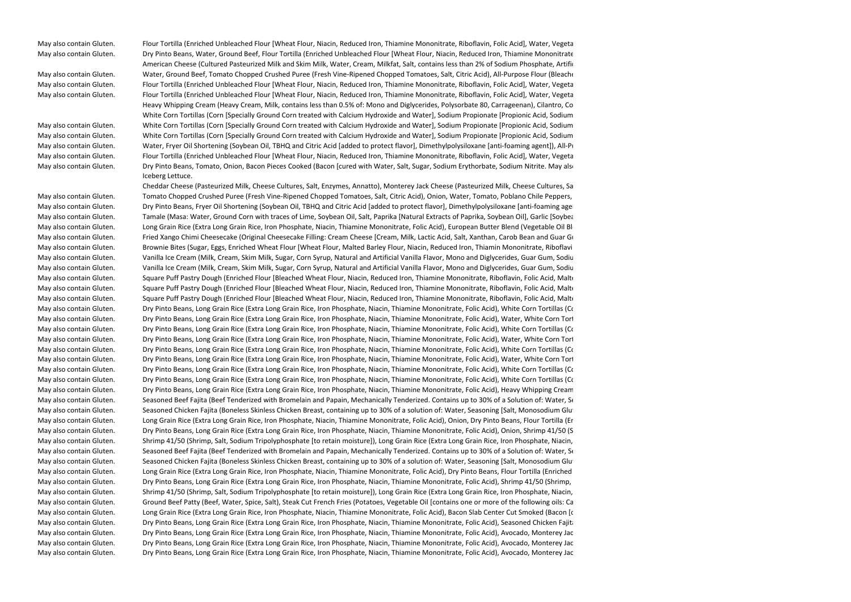May also contain Gluten. <br>May also contain Gluten. The Flour Tortilla (Enriched Unbleached Flour [Wheat Flour, Niacin, Reduced Iron, Thiamine Mononitrate, Riboflavin, Folic Acid], Water, Vegeta May also contain Gluten. 

Samp Pinto Beans, Water, Ground Beef, Flour Tortilla (Enriched Unbleached Flour [Wheat Flour, Niacin, Reduced Iron, Thiamine Mononitrate The Samph Contains and Samph Consenting Consenting Manuscr American Cheese (Cultured Pasteurized Milk and Skim Milk. Water, Cream, Milkfat, Salt, contains less than 2% of Sodium Phosphate, Artific May also contain Gluten. Water, Ground Beef, Tomato Chopped Crushed Puree (Fresh Vine-Ripened Chopped Tomatoes, Salt, Citric Acid), All-Purpose Flour (Bleache May also contain Gluten. <br>May also contain Gluten. The Flour Tortilla (Enriched Unbleached Flour [Wheat Flour, Niacin, Reduced Iron, Thiamine Mononitrate, Riboflavin, Folic Acid], Water, Vegeta May also contain Gluten. <br>May also contain Gluten. The Flour Tortilla (Enriched Unbleached Flour [Wheat Flour, Niacin, Reduced Iron, Thiamine Mononitrate, Riboflavin, Folic Acid], Water, Vegeta Heavy Whipping Cream (Heavy Cream, Milk, contains less than 0.5% of: Mono and Diglycerides, Polysorbate 80, Carrageenan), Cilantro, Co White Corn Tortillas (Corn [Specially Ground Corn treated with Calcium Hydroxide and Water], Sodium Propionate [Propionic Acid, Sodium May also contain Gluten. White Corn Tortillas (Corn [Specially Ground Corn treated with Calcium Hydroxide and Water], Sodium Propionate [Propionic Acid, Sodium May also contain Gluten. White Corn Tortillas (Corn [Specially Ground Corn treated with Calcium Hydroxide and Water], Sodium Propionate [Propionic Acid, Sodium May also contain Gluten. Water, Fryer Oil Shortening (Soybean Oil, TBHQ and Citric Acid [added to protect flavor], Dimethylpolysiloxane [anti-foaming agent]), All-Pu May also contain Gluten. <br>May also contain Gluten. The Flour Tortilla (Enriched Unbleached Flour [Wheat Flour, Niacin, Reduced Iron, Thiamine Mononitrate, Riboflavin, Folic Acid], Water, Vegeta May also contain Gluten. Dry Pinto Beans, Tomato, Onion, Bacon Pieces Cooked (Bacon [cured with Water, Salt, Sugar, Sodium Erythorbate, Sodium Nitrite. May also Iceberg Lettuce.

Cheddar Cheese (Pasteurized Milk, Cheese Cultures, Salt, Enzymes, Annatto), Monterey Jack Cheese (Pasteurized Milk, Cheese Cultures, Salt, Enzymes). May also contain Gluten. Tomato Chopped Crushed Puree (Fresh Vine-Ripened Chopped Tomatoes, Salt, Citric Acid), Onion, Water, Tomato, Poblano Chile Peppers, May also contain Gluten. Dry Pinto Beans, Fryer Oil Shortening (Soybean Oil, TBHQ and Citric Acid [added to protect flavor], Dimethylpolysiloxane [anti-foaming ager] May also contain Gluten. Tamale (Masa: Water, Ground Corn with traces of Lime, Soybean Oil, Salt, Paprika [Natural Extracts of Paprika, Soybean Oil], Garlic [Soybea 7011] and Soybean. May also contain Gluten. Long Grain Rice (Extra Long Grain Rice, Iron Phosphate, Niacin, Thiamine Mononitrate, Folic Acid), European Butter Blend (Vegetable Oil Blotter Rice) May also contain Gluten. Fried Xango Chimi Cheesecake (Original Cheesecake Filling: Cream Cheese [Cream, Milk, Lactic Acid, Salt, Xanthan, Carob Bean and Guar Gu May also contain Gluten. 

Shrownie Bites (Sugar, Eggs, Enriched Wheat Flour [Wheat Flour, Malted Barley Flour, Niacin, Reduced Iron, Thiamin Mononitrate, Riboflavi May also contain Gluten. 
Samilla Ice Cream (Milk, Cream, Skim Milk, Sugar, Corn Syrup, Natural and Artificial Vanilla Flavor, Mono and Diglycerides, Guar Gum, Sodiu Samilla That Artitical Vanilla Flavor, Mono and Diglycer May also contain Gluten. 
Samilla Ice Cream (Milk, Cream, Skim Milk, Sugar, Corn Syrup, Natural and Artificial Vanilla Flavor, Mono and Diglycerides, Guar Gum, Sodiu Samilla That Artitical Vanilla Flavor, Mono and Diglycer May also contain Gluten. Square Puff Pastry Dough (Enriched Flour [Bleached Wheat Flour, Niacin, Reduced Iron, Thiamine Mononitrate, Riboflavin, Folic Acid, Malte May also contain Gluten. Square Puff Pastry Dough (Enriched Flour [Bleached Wheat Flour, Niacin, Reduced Iron, Thiamine Mononitrate, Riboflavin, Folic Acid, Malte May also contain Gluten. Square Puff Pastry Dough (Enriched Flour [Bleached Wheat Flour, Niacin, Reduced Iron, Thiamine Mononitrate, Riboflavin, Folic Acid, Malte May also contain Gluten. 

Samp Pinto Beans, Long Grain Rice (Extra Long Grain Rice, Iron Phosphate, Niacin, Thiamine Mononitrate, Folic Acid), White Corn Tortillas (Com 1997) and the Corn Tortillas (Com 1997) and the Cons May also contain Gluten. Dry Pinto Beans, Long Grain Rice (Extra Long Grain Rice, Iron Phosphate, Niacin, Thiamine Mononitrate, Folic Acid), Water, White Corn Tortillas (Corn [Specially Ground Corn treated with Calcium Hydroxide and Water], Sodium Propionate [Propionic Acid, Sodium Hydroxide], Methylparaben, Propylparaben, Carboxymethyl Cellulose), Fryer Oil Shortening (Soybean Oil, TBHQ and Citric Acid [added to protect flavor], Dimethylpolysiloxane [anti-foaming agent]), Ground Beef, Tomato, European Butter Blend (Vegetable Oil Blend [Palm and Palm Kernel Oil, Soybean Oil), Skim Milk, Butter [Cream, Salt], contains less than 2% of Natural Flavor, Vitamin A Palmitate Added, Beta Carotene [color], Salt), All-Purpose Flour (Bleached Wheat Flour, Malted Barley Flour, Niacin, Iron, Thiamin Mononitrate, Riboflavin, Folic Acid), Red Bell Pepper, Onion, Iodized Salt (Salt, Dextrose, Potassium Iodide 0.006%, Sodium Bicarbonate, Yellow Prussiate of Soda), Bell Peppers, Carrots, Cheddar Cheese (Pasteurized Milk, Cheese Cultures, Salt, Enzymes, Annatto), Monterey Jack Cheese (Pasteurized Milk, Cheese Cultures, Salt, Enzymes), Tomato Crushed Heavy Concentrate (Fresh Vine-Ripened California Crushed Tomatoes, Salt, Citric Acid), Chicken Base (Salt, Wheat Flour, Sugar, Monosodium Glutamate, Onion Powder, Rendered Chicken Fat, Cooked Chicken Powder with Natural Flavor, Hydrolyzed Soy Protein, Turmeric, Disodium Guanylate, Disodium Inosinate, Xanthan Gum, Anti-caking Agent), Celery, Paprika (Paprika, Silicon Dioxide [added to make free flowing]), Garlic Powder, Cilantro, Cayenne Pepper, Blackened Redfish Seasoning (Salt, Garlic, Paprika, Black Pepper, Onion, White Pepper, Thyme, Red Pepper, Oregano), Light Chili Powder (Chili Pepper, Salt, Spices, Garlic, Silicon Dioxide [added to make free flowing]), Cumin, Black Pepper, Oregano, Red Chili Peppers, MSG. May also contain Gluten. 

Samp Pinto Beans, Long Grain Rice (Extra Long Grain Rice, Iron Phosphate, Niacin, Thiamine Mononitrate, Folic Acid), White Corn Tortillas (Com 1997) and the Corn Tortillas (Com 1997) and the Cons May also contain Gluten. Dry Pinto Beans, Long Grain Rice (Extra Long Grain Rice, Iron Phosphate, Niacin, Thiamine Mononitrate, Folic Acid), Water, White Corn Tortillas (Corn [Specially Ground Corn treated with Calcium Hydroxide and Water], Sodium Propionate [Propionic Acid, Sodium Hydroxide], Methylparaben, Propylparaben, Carboxymethyl Cellulose), Fryer Oil Shortening (Soybean Oil, TBHQ and Citric Acid [added to protect flavor], Dimethylpolysiloxane [anti-foaming agent]), Boneless Chicken Breast Pieces (Boneless Chicken Breast Pieces, contains up to 30% of a solution of: Water, Salt, Vinegar, Sodium Tripolyphosphate), European Butter Blend (Vegetable Oil Blend [Palm and Palm Kernel Oil, Soybean Oil), Skim Milk, Butter [Cream, Salt], contains less than 2% of Natural Flavor, Vitamin A Palmitate Added, Beta Carotene [color], Salt), All-Purpose Flour (Bleached Wheat Flour, Malted Barley Flour, Niacin, Iron, Thiamin Mononitrate, Riboflavin, Folic Acid), Tomato Chopped Crushed Puree (Fresh Vine-Ripened Chopped Tomatoes, Salt, Citric Acid), Red Bell Pepper, Tomato, Iodized Salt (Salt, Dextrose, Potassium Iodide 0.006%, Sodium Bicarbonate, Yellow Prussiate of Soda), Bell Peppers, Onion, Carrots, Cheddar Cheese (Pasteurized Milk, Cheese Cultures, Salt, Enzymes, Annatto), Monterey Jack Cheese (Pasteurized Milk, Cheese Cultures, Salt, Enzymes), Celery, Tomato Crushed Heavy Concentrate (Fresh Vine-Ripened California Crushed Tomatoes, Salt, Citric Acid), Chicken Base (Salt, Wheat Flour, Sugar, Monosodium Glutamate, Onion Powder, Rendered Chicken Fat, Cooked Chicken Powder with Natural Flavor, Hydrolyzed Soy Protein, Turmeric, Disodium Guanylate, Disodium Inosinate, Xanthan Gum, Anti-caking Agent), Paprika (Paprika, Silicon Dioxide [added to make free flowing]), Cilantro, Cayenne Pepper, Garlic Powder, Blackened Redfish Seasoning (Salt, Garlic, Paprika, Black Pepper, Onion, White Pepper, Thyme, Red Pepper, Oregano), Light Chili Powder (Chili Pepper, Salt, Spices, Garlic, Silicon Dioxide [added to make free flowing]), Cumin, Black Pepper, MSG, Oregano, Red Chili Peppers. May also contain Gluten. 

Samp Pinto Beans, Long Grain Rice (Extra Long Grain Rice, Iron Phosphate, Niacin, Thiamine Mononitrate, Folic Acid), White Corn Tortillas (Com 1997) and the Corn Tortillas (Com 1997) and the Cons May also contain Gluten. Dry Pinto Beans, Long Grain Rice (Extra Long Grain Rice, Iron Phosphate, Niacin, Thiamine Mononitrate, Folic Acid), Water, White Corn Tortillas (Corn [Specially Ground Corn treated with Calcium Hydroxide and Water], Sodium Propionate [Propionic Acid, Sodium Hydroxide], Methylparaben, Propylparaben, Carboxymethyl Cellulose), Fryer Oil Shortening (Soybean Oil, TBHQ and Citric Acid [added to protect flavor], Dimethylpolysiloxane [anti-foaming agent]), Boneless Chicken Breast Pieces (Boneless Chicken Breast Pieces, contains up to 30% of a solution of: Water, Salt, Vinegar, Sodium Tripolyphosphate), European Butter Blend (Vegetable Oil Blend [Palm and Palm Kernel Oil, Soybean Oil), Skim Milk, Butter [Cream, Salt], contains less than 2% of Natural Flavor, Vitamin A Palmitate Added, Beta Carotene [color], Salt), All-Purpose Flour (Bleached Wheat Flour, Malted Barley Flour, Niacin, Iron, Thiamin Mononitrate, Riboflavin, Folic Acid), Tomato Chopped Crushed Puree (Fresh Vine-Ripened Chopped Tomatoes, Salt, Citric Acid), Red Bell Pepper, Tomato, Iodized Salt (Salt, Dextrose, Potassium Iodide 0.006%, Sodium Bicarbonate, Yellow Prussiate of Soda), Bell Peppers, Onion, Carrots, Cheddar Cheese (Pasteurized Milk, Cheese Cultures, Salt, Enzymes, Annatto), Monterey Jack Cheese (Pasteurized Milk, Cheese Cultures, Salt, Enzymes), Celery, Tomato Crushed Heavy Concentrate (Fresh Vine-Ripened California Crushed Tomatoes, Salt, Citric Acid), Chicken Base (Salt, Wheat Flour, Sugar, Monosodium Glutamate, Onion Powder, Rendered Chicken Fat, Cooked Chicken Powder with Natural Flavor, Hydrolyzed Soy Protein, Turmeric, Disodium Guanylate, Disodium Inosinate, Xanthan Gum, Anti-caking Agent), Paprika (Paprika, Silicon Dioxide [added to make free flowing]), Cilantro, Cayenne Pepper, Garlic Powder, Blackened Redfish Seasoning (Salt, Garlic, Paprika, Black Pepper, Onion, White Pepper, Thyme, Red Pepper, Oregano), Light Chili Powder (Chili Pepper, Salt, Spices, Garlic, Silicon Dioxide [added to make free flowing]), Cumin, Black Pepper, MSG, Oregano, Red Chili Peppers. May also contain Gluten. 

Samp Pinto Beans, Long Grain Rice (Extra Long Grain Rice, Iron Phosphate, Niacin, Thiamine Mononitrate, Folic Acid), White Corn Tortillas (Com 1997) and the Corn Tortillas (Com 1997) and the Cons May also contain Gluten. 

Samp Pinto Beans, Long Grain Rice (Extra Long Grain Rice, Iron Phosphate, Niacin, Thiamine Mononitrate, Folic Acid), White Corn Tortillas (Com 1997) and the Corn Tortillas (Com 1997) and the Cons May also contain Gluten. Dry Pinto Beans, Long Grain Rice (Extra Long Grain Rice, Iron Phosphate, Niacin, Thiamine Mononitrate, Folic Acid), Heavy Whipping Cream (Heavy Cream, Milk, contains less than 0.5% of: Mono and Diglycerides, Polysorbate 80, Carrageenan), Flour Tortilla (Enriched Unbleached Flour [Wheat Flour, Niacin, Reduced Iron, Thiamine Mononitrate, Riboflavin, Folic Acid], Water, Vegetable Shortening [contains one or more of the following: Palm Oil and/or Corn Oil], contains 2% or less of the following: Salt, Aluminum Free Leavening [Sodium Acid Pyrophosphate, Sodium Bicarbonate, Corn Starch, Monocalcium Phosphate], Wheat Protein, Calcium Propionate and Sorbic Acid [preservatives], Fumaric Acid, Gum Blend, Dough Conditioner [Lecithin, Mono and Diglycerides, Sodium Metabisulphite]), Spinach, Fryer Oil Shortening (Soybean Oil, TBHQ and Citric Acid [added to protect flavor], Dimethylpolysiloxane [anti-foaming agent]), Tomato, European Butter Blend (Vegetable Oil Blend [Palm and Palm Kernel Oil, Soybean Oil), Skim Milk, Butter [Cream, Salt], contains less than 2% of Natural Flavor, Vitamin A Palmitate Added, Beta Carotene [color], Salt), Cheddar Cheese (Pasteurized Milk, Cheese Cultures, Salt, Enzymes, Annatto), Monterey Jack Cheese (Pasteurized Milk, Cheese Cultures, Salt, Enzymes), Mushrooms, Onion, All-Purpose Flour (Bleached Wheat Flour, Malted Barley Flour, Niacin, Iron, Thiamin Mononitrate, Riboflavin, Folic Acid), Iceberg Lettuce, Iodized Salt (Salt, Dextrose, Potassium Iodide 0.006%, Sodium Bicarbonate, Yellow Prussiate of Soda), Bell Peppers, Red Bell Pepper, Carrots, Water, Cilantro, Toasted Japanese Panko Bread Crumbs (Wheat Flour, contains 2% or less of the following: Sugar, Yeast, Soybean Oil, Salt), Chicken Base (Salt, Wheat Flour, Sugar, Monosodium Glutamate, Onion Powder, Rendered Chicken Fat, Cooked Chicken Powder with Natural Flavor, Hydrolyzed Soy Protein, Turmeric, Disodium Guanylate, Disodium Inosinate, Xanthan Gum, Anti-caking Agent), Butter Alternative (Liquid and Hydrogenated Soybean Oil, contains less than 2% of Salt, Sunflower Lecithin, Natural Flavor, Beta Carotene [color]), Cornstarch, Jalapeno, Paprika (Paprika, Silicon Dioxide [added to make free flowing]), Chopped Garlic in Water (Garlic, Water, Citric Acid. Contains: Naturally Occurring Sulfites), Cayenne Pepper, Blackened Redfish Seasoning (Salt, Garlic, Paprika, Black Pepper, Onion, White Pepper, Thyme, Red Pepper, Oregano), Lime Juice, Garlic Powder, Black Pepper, Seasoned Salt (Salt, Sugar, Spices [including Paprika and Turmeric], Onion, Cornstarch, Garlic, Tricalcium Phosphate [prevents caking], Natural Flavor, Paprika Oleoresin [color]), Light Chili Powder (Chili Pepper, Salt, Spices, Garlic, Silicon Dioxide [added to make free flowing]), Red Chili Peppers, White Pepper, Cumin, Nutmeg, Oregano. May also contain Gluten. Seasoned Beef Fajita (Beef Tenderized with Bromelain and Papain, Mechanically Tenderized. Contains up to 30% of a Solution of: Water, Se Santer and Daylong Seasoned Beef Fajita (Beef Tenderized wit May also contain Gluten. Seasoned Chicken Fajita (Boneless Skinless Chicken Breast, containing up to 30% of a solution of: Water, Seasoning [Salt, Monosodium Glut and all and and all and all and all all and all all all all May also contain Gluten. 

Long Grain Rice (Extra Long Grain Rice, Iron Phosphate, Niacin, Thiamine Mononitrate, Folic Acid), Onion, Dry Pinto Beans, Flour Tortilla (Er May also contain Gluten. 
Sampu Pinto Beans, Long Grain Rice (Extra Long Grain Rice, Iron Phosphate, Niacin, Thiamine Mononitrate, Folic Acid), Onion, Shrimp 41/50 (S May also contain Gluten. Shrimp 41/50 (Shrimp, Salt, Sodium Tripolyphosphate [to retain moisture]), Long Grain Rice (Extra Long Grain Rice, Iron Phosphate, Niacin, May also contain Gluten. Seasoned Beef Fajita (Beef Tenderized with Bromelain and Papain, Mechanically Tenderized. Contains up to 30% of a Solution of: Water, Se Santer and Daylong Seasoned Beef Fajita (Beef Tenderized wit May also contain Gluten. Seasoned Chicken Fajita (Boneless Skinless Chicken Breast, containing up to 30% of a solution of: Water, Seasoning [Salt, Monosodium Glut and all and and all and all and all all and all all all all May also contain Gluten. 

Long Grain Rice (Extra Long Grain Rice, Iron Phosphate, Niacin, Thiamine Mononitrate, Folic Acid), Dry Pinto Beans, Flour Tortilla (Enriched May also contain Gluten. 

Samp Pinto Beans, Long Grain Rice (Extra Long Grain Rice, Iron Phosphate, Niacin, Thiamine Mononitrate, Folic Acid), Shrimp 41/50 (Shrimp, May also contain Gluten. Shrimp 41/50 (Shrimp, Salt, Sodium Tripolyphosphate [to retain moisture]), Long Grain Rice (Extra Long Grain Rice, Iron Phosphate, Niacin, May also contain Gluten. Sacround Beef Patty (Beef, Water, Spice, Salt), Steak Cut French Fries (Potatoes, Vegetable Oil [contains one or more of the following oils: Ca match on the following oils: Ca match of the followin May also contain Gluten. Long Grain Rice (Extra Long Grain Rice, Iron Phosphate, Niacin, Thiamine Mononitrate, Folic Acid), Bacon Slab Center Cut Smoked (Bacon [cured with Water, Salt, Sugar, Sodium Phosphate, Sodium Erythorbate, Sodium Nitrite]), Shrimp 16/20 (Shrimp, Water, Salt, Sodium Carbonate, Sodium Citrate), Dry Pinto Beans, Monterey Jack Cheese (Pasteurized Milk, Cheese Cultures, Salt, Enzymes), Tomato, Butter Alternative (Liquid and Hydrogenated Soybean Oil, contains less than 2% of Salt, Sunflower Lecithin, Natural Flavor, Beta Carotene [color]), Onion, European Butter Blend (Vegetable Oil Blend [Palm and Palm Kernel Oil, Soybean Oil), Skim Milk, Butter [Cream, Salt], contains less than 2% of Natural Flavor, Vitamin A Palmitate Added, Beta Carotene [color], Salt), Jalapeno Pepper, Lime, Chicken Base (Salt, Wheat Flour, Sugar, Monosodium Glutamate, Onion Powder, Rendered Chicken Fat, Cooked Chicken Powder with Natural Flavor, Hydrolyzed Soy Protein, Turmeric, Disodium Guanylate, Disodium Inosinate, Xanthan Gum, Anti-caking Agent), White Wine, Bell Peppers, Red Bell Pepper, Bacon Pieces Cooked (Bacon [cured with Water, Salt, Sugar, Sodium Erythorbate, Sodium Nitrite. May also contain Dextrose, Flavoring, Honey, Potassium Chloride, Potassium Lactate, Smoke Flavoring, Sodium Diacetate, Sodium Phosphate]), Carrots, Fryer Oil Shortening (Soybean Oil, TBHQ and Citric Acid [added to protect flavor], Dimethylpolysiloxane [anti-foaming agent]), Sliced Jalapeno Peppers (Jalapeno Peppers, Vinegar, Iodized Salt), Cilantro, Iodized Salt (Salt, Dextrose, Potassium Iodide 0.006%, Sodium Bicarbonate, Yellow Prussiate of Soda), Chopped Garlic in Water (Garlic, Water, Citric Acid. Contains: Naturally Occurring Sulfites), Granulated Garlic, Blackened Redfish Seasoning (Salt, Garlic, Paprika, Black Pepper, Onion, White Pepper, Thyme, Red Pepper, Oregano), Cumin, Red Chili Peppers. May also contain Gluten. Dry Pinto Beans, Long Grain Rice (Extra Long Grain Rice, Iron Phosphate, Niacin, Thiamine Mononitrate, Folic Acid), Seasoned Chicken Fajita (Boneless Skinless Chicken Breast, containing up to 30% of a solution of: Water, Seasoning [Salt, Monosodium Glutamate, Spices, Garlic Powder, Onion Powder, Chili Powder, Citric Acid, Anti-caking Agent, Soybean Oil], Vinegar, Sodium Tripolyphosphate), Tomato, Heavy Whipping Cream (Heavy Cream, Milk, contains less than 0.5% of: Mono and Diglycerides, Polysorbate 80, Carrageenan), Fryer Oil Shortening (Soybean Oil, TBHQ and Citric Acid [added to protect flavor], Dimethylpolysiloxane [anti-foaming agent]), Spinach, Onion, European Butter Blend (Vegetable Oil Blend [Palm and Palm Kernel Oil, Soybean Oil), Skim Milk, Butter [Cream, Salt], contains less than 2% of Natural Flavor, Vitamin A Palmitate Added, Beta Carotene [color], Salt), Cheddar Cheese (Pasteurized Milk, Cheese Cultures, Salt, Enzymes, Annatto), Monterey Jack Cheese (Pasteurized Milk, Cheese Cultures, Salt, Enzymes), American Cheese (Cultured Pasteurized Milk and Skim Milk, Water, Cream, Milkfat, Salt, contains less than 2% of Sodium Phosphate, Artificial Color, Enzymes), All-Purpose Flour (Bleached Wheat Flour, Malted Barley Flour, Niacin, Iron, Thiamin Mononitrate, Riboflavin, Folic Acid), Iceberg Lettuce, Water, Bell Peppers, Mushrooms, Iodized Salt (Salt, Dextrose, Potassium Iodide 0.006%, Sodium Bicarbonate, Yellow Prussiate of Soda), Red Bell Pepper, Carrots, Cilantro, Jalapeno, Chicken Base (Salt, Wheat Flour, Sugar, Monosodium Glutamate, Onion Powder, Rendered Chicken Fat, Cooked Chicken Powder with Natural Flavor, Hydrolyzed Soy Protein, Turmeric, Disodium Guanylate, Disodium Inosinate, Xanthan Gum, Anti-caking Agent), Celery, Toasted Japanese Panko Bread Crumbs (Wheat Flour, contains 2% or less of the following: Sugar, Yeast, Soybean Oil, Salt), Lime Juice, Cornstarch, Paprika (Paprika, Silicon Dioxide [added to make free flowing]), Butter Alternative (Liquid and Hydrogenated Soybean Oil, contains less than 2% of Salt, Sunflower Lecithin, Natural Flavor, Beta Carotene [color]), Cayenne Pepper, Blackened Redfish Seasoning (Salt, Garlic, Paprika, Black Pepper, Onion, White Pepper, Thyme, Red Pepper, Oregano), Garlic Powder, Sliced Jalapeno Peppers (Jalapeno Peppers, Vinegar, Iodized Salt), Chopped Garlic in Water (Garlic, Water, Citric Acid. Contains: Naturally Occurring Sulfites), Black Pepper, Seasoned Salt (Salt, Sugar, Spices [including Paprika and Turmeric], Onion, Cornstarch, Garlic, Tricalcium Phosphate [prevents caking], Natural Flavor, Paprika Oleoresin [color]), Light Chili Powder (Chili Pepper, Salt, Spices, Garlic, Silicon Dioxide [added to make free flowing]), Red Chili Peppers, Cumin, White Pepper, Oregano, Nutmeg. May also contain Gluten. Dry Pinto Beans, Long Grain Rice (Extra Long Grain Rice, Iron Phosphate, Niacin, Thiamine Mononitrate, Folic Acid), Avocado, Monterey Jack Cheese (Pasteurized Milk, Cheese Cultures, Salt, Enzymes), Buttermilk (Cultured Lowfat Milk, Nonfat Dry Milk, Modified Food Starch, Salt, Sodium Citrate, Mono and Diglycerides, Carrageenan, Carob Bean Gum, Vitamin A Palmitate, Vitamin D3), Fryer Oil Shortening (Soybean Oil, TBHQ and Citric Acid [added to protect flavor], Dimethylpolysiloxane [anti-foaming agent]), Toasted Japanese Panko Bread Crumbs (Wheat Flour, contains 2% or less of the following: Sugar, Yeast, Soybean Oil, Salt), Seasoned Beef Fajita (Beef Tenderized with Bromelain and Papain, Mechanically Tenderized. Contains up to 30% of a Solution of: Water, Seasoning [Salt, Spices, Dehydrated Garlic, Dehydrated Onion, Disodium Guanylate, Disodium Inosinate, Dextrose], Soy Sauce [Water, Wheat, Soybeans, Salt, Sodium Benzoate (less than 1/10th of 1% as a preservative)], Meat Enhancer [Modified Corn Starch, Soy Protein Concentrate, Sodium Phosphates (18%), Carrageenan, Salt, Soybean Oil (processing aid)], Sodium Tripolyphosphate, Tenderizer [Maltodextrin, Bromelain, Papain, not more than 2% Silicon Dioxide [added to prevent caking]. Contains Sulfites: 25 ppm), Heavy Whipping Cream (Heavy Cream, Milk, contains less than 0.5% of: Mono and Diglycerides, Polysorbate 80, Carrageenan), Tomato, American Cheese (Cultured Pasteurized Milk and Skim Milk, Water, Cream, Milkfat, Salt, contains less than 2% of Sodium Phosphate, Artificial Color, Enzymes), European Butter Blend (Vegetable Oil Blend [Palm and Palm Kernel Oil, Soybean Oil), Skim Milk, Butter [Cream, Salt], contains less than 2% of Natural Flavor, Vitamin A Palmitate Added, Beta Carotene [color], Salt), Water, Onion, All-Purpose Flour (Bleached Wheat Flour, Malted Barley Flour, Niacin, Iron, Thiamin Mononitrate, Riboflavin, Folic Acid), Tomato Chopped Crushed Puree (Fresh Vine-Ripened Chopped Tomatoes, Salt, Citric Acid), Iceberg Lettuce, Bell Peppers, Iodized Salt (Salt, Dextrose, Potassium Iodide 0.006%, Sodium Bicarbonate, Yellow Prussiate of Soda), Red Bell Pepper, Carrots, Cheddar Cheese (Pasteurized Milk, Cheese Cultures, Salt, Enzymes, Annatto), Cilantro, Celery, Chicken Base (Salt, Wheat Flour, Sugar, Monosodium Glutamate, Onion Powder, Rendered Chicken Fat, Cooked Chicken Powder with Natural Flavor, Hydrolyzed Soy Protein, Turmeric, Disodium Guanylate, Disodium Inosinate, Xanthan Gum, Anti-caking Agent), Chipotle Peppers in Adobo Sauce (Chipotle Peppers, Water, Tomato Puree, Corn Oil, Corn Starch, Salt, Vinegar, Caramel Color, Onion Powder, Garlic Powder, Spices), Jalapeno, Poblano Chile Peppers, Paprika (Paprika, Silicon Dioxide [added to make free flowing]), Cornstarch, Sliced Jalapeno Peppers (Jalapeno Peppers, Vinegar, Iodized Salt), Cayenne Pepper, Blackened Redfish Seasoning (Salt, Garlic, Paprika, Black Pepper, Onion, White Pepper, Thyme, Red Pepper, Oregano), Lime Juice, Garlic Powder, Granulated Garlic, Seasoned Salt (Salt, Sugar, Spices [including Paprika and Turmeric], Onion, Cornstarch, Garlic, Tricalcium Phosphate [prevents caking], Natural Flavor, Paprika Oleoresin [color]), Cumin, Red Chili Peppers, Oregano. May also contain Gluten. Dry Pinto Beans, Long Grain Rice (Extra Long Grain Rice, Iron Phosphate, Niacin, Thiamine Mononitrate, Folic Acid), Avocado, Monterey Jack Cheese (Pasteurized Milk, Cheese Cultures, Salt, Enzymes), Buttermilk (Cultured Lowfat Milk, Nonfat Dry Milk, Modified Food Starch, Salt, Sodium Citrate, Mono and Diglycerides, Carrageenan, Carob Bean Gum, Vitamin A Palmitate, Vitamin D3), Fryer Oil Shortening (Soybean Oil, TBHQ and Citric Acid [added to protect flavor], Dimethylpolysiloxane [anti-foaming agent]), Toasted Japanese Panko Bread Crumbs (Wheat Flour, contains 2% or less of the following: Sugar, Yeast, Soybean Oil, Salt), Seasoned Chicken Fajita (Boneless Skinless Chicken Breast, containing up to 30% of a solution of: Water, Seasoning [Salt, Monosodium Glutamate, Spices, Garlic Powder, Onion Powder, Chili Powder, Citric Acid, Anti-caking Agent, Soybean Oil], Vinegar, Sodium Tripolyphosphate), Heavy Whipping Cream (Heavy Cream, Milk, contains less than 0.5% of: Mono and Diglycerides, Polysorbate 80, Carrageenan), Tomato, American Cheese (Cultured Pasteurized Milk and Skim Milk, Water, Cream, Milkfat, Salt, contains less than 2% of Sodium Phosphate, Artificial Color, Enzymes), European Butter Blend (Vegetable Oil Blend [Palm and Palm Kernel Oil, Soybean Oil), Skim Milk, Butter [Cream, Salt], contains less than 2% of Natural Flavor, Vitamin A Palmitate Added, Beta Carotene [color], Salt), Water, Onion, All-Purpose Flour (Bleached Wheat Flour, Malted Barley Flour, Niacin, Iron, Thiamin Mononitrate, Riboflavin, Folic Acid), Tomato Chopped Crushed Puree (Fresh Vine-Ripened Chopped Tomatoes, Salt, Citric Acid), Iceberg Lettuce, Bell Peppers, Iodized Salt (Salt, Dextrose, Potassium Iodide 0.006%, Sodium Bicarbonate, Yellow Prussiate of Soda), Red Bell Pepper, Carrots, Cheddar Cheese (Pasteurized Milk, Cheese Cultures, Salt, Enzymes, Annatto), Cilantro, Celery, Chicken Base (Salt, Wheat Flour, Sugar, Monosodium Glutamate, Onion Powder, Rendered Chicken Fat, Cooked Chicken Powder with Natural Flavor, Hydrolyzed Soy Protein, Turmeric, Disodium Guanylate, Disodium Inosinate, Xanthan Gum, Anti-caking Agent), Chipotle Peppers in Adobo Sauce (Chipotle Peppers, Water, Tomato Puree, Corn Oil, Corn Starch, Salt, Vinegar, Caramel Color, Onion Powder, Garlic Powder, Spices), Jalapeno, Poblano Chile Peppers, Paprika (Paprika, Silicon Dioxide [added to make free flowing]), Cornstarch, Sliced Jalapeno Peppers (Jalapeno Peppers, Vinegar, Iodized Salt), Cayenne Pepper, Blackened Redfish Seasoning (Salt, Garlic, Paprika, Black Pepper, Onion, White Pepper, Thyme, Red Pepper, Oregano), Lime Juice, Garlic Powder, Granulated Garlic, Seasoned Salt (Salt, Sugar, Spices [including Paprika and Turmeric], Onion, Cornstarch, Garlic, Tricalcium Phosphate [prevents caking], Natural Flavor, Paprika Oleoresin [color]), Cumin, Red Chili Peppers, Oregano. May also contain Gluten. 
Composed an Extra Long Grain Rice (Extra Long Grain Rice, Iron Phosphate, Niacin, Thiamine Mononitrate, Folic Acid), Avocado, Monterey Jac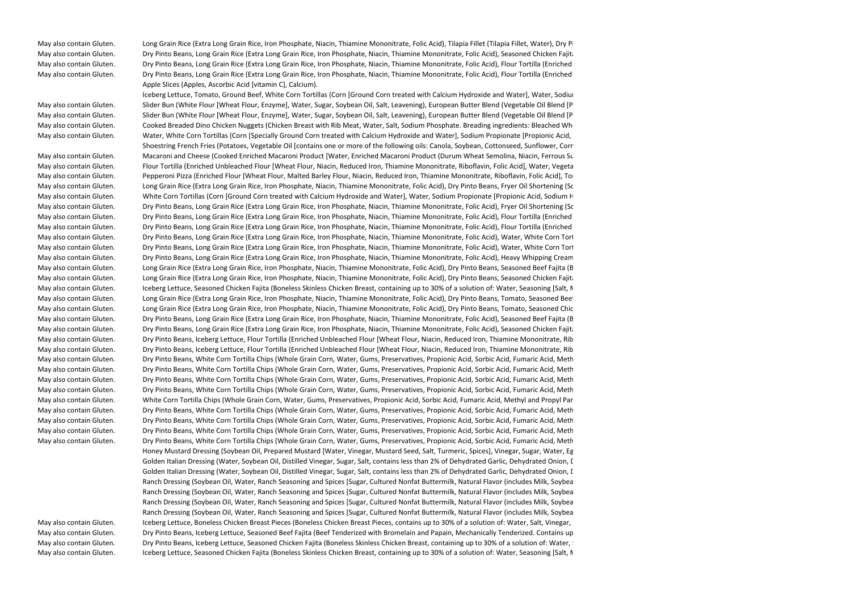May also contain Gluten. 

Long Grain Rice (Extra Long Grain Rice, Iron Phosphate, Niacin, Thiamine Mononitrate, Folic Acid), Tilapia Fillet (Tilapia Fillet, Water), Dry Pi May also contain Gluten. Dry Pinto Beans, Long Grain Rice (Extra Long Grain Rice, Iron Phosphate, Niacin, Thiamine Mononitrate, Folic Acid), Seasoned Chicken Fajita (Boneless Skinless Chicken Breast, containing up to 30% of a solution of: Water, Seasoning [Salt, Monosodium Glutamate, Spices, Garlic Powder, Onion Powder, Chili Powder, Citric Acid, Anti-caking Agent, Soybean Oil], Vinegar, Sodium Tripolyphosphate), American Cheese (Cultured Pasteurized Milk and Skim Milk, Water, Cream, Milkfat, Salt, contains less than 2% of Sodium Phosphate, Artificial Color, Enzymes), Fryer Oil Shortening (Soybean Oil, TBHQ and Citric Acid [added to protect flavor], Dimethylpolysiloxane [anti-foaming agent]), White Corn Tortilla Chips (Whole Grain Corn, Water, Gums, Preservatives, Propionic Acid, Sorbic Acid, Fumaric Acid, Methyl and Propyl Parabens, Lime. May contain soy and wheat), Tomato, All-Purpose Flour (Bleached Wheat Flour, Malted Barley Flour, Niacin, Iron, Thiamin Mononitrate, Riboflavin, Folic Acid), European Butter Blend (Vegetable Oil Blend [Palm and Palm Kernel Oil, Soybean Oil), Skim Milk, Butter [Cream, Salt], contains less than 2% of Natural Flavor, Vitamin A Palmitate Added, Beta Carotene [color], Salt), Butter Alternative (Liquid and Hydrogenated Soybean Oil, contains less than 2% of Salt, Sunflower Lecithin, Natural Flavor, Beta Carotene [color]), Water, Egg, Onion, Bell Peppers, Iceberg Lettuce, Milk (Whole Milk, Vitamin D), Toasted Japanese Panko Bread Crumbs (Wheat Flour, contains 2% or less of the following: Sugar, Yeast, Soybean Oil, Salt), Iodized Salt (Salt, Dextrose, Potassium Iodide 0.006%, Sodium Bicarbonate, Yellow Prussiate of Soda), Red Bell Pepper, Carrots, Cheddar Cheese (Pasteurized Milk, Cheese Cultures, Salt, Enzymes, Annatto), Monterey Jack Cheese (Pasteurized Milk, Cheese Cultures, Salt, Enzymes), Celery, White Wine, Cilantro, Chicken Base (Salt, Wheat Flour, Sugar, Monosodium Glutamate, Onion Powder, Rendered Chicken Fat, Cooked Chicken Powder with Natural Flavor, Hydrolyzed Soy Protein, Turmeric, Disodium Guanylate, Disodium Inosinate, Xanthan Gum, Anti-caking Agent), Jalapeno, Sliced Jalapeno Peppers (Jalapeno Peppers, Vinegar, Iodized Salt), Paprika (Paprika, Silicon Dioxide [added to make free flowing]), Chopped Garlic in Water (Garlic, Water, Citric Acid. Contains: Naturally Occurring Sulfites), Cayenne Pepper, Blackened Redfish Seasoning (Salt, Garlic, Paprika, Black Pepper, Onion, White Pepper, Thyme, Red Pepper, Oregano), Lime Juice, Garlic Powder, Kosher Salt (Salt, Yellow Prussiate of Soda), Seasoned Salt (Salt, Sugar, Spices [including Paprika and Turmeric], Onion, Cornstarch, Garlic, Tricalcium Phosphate [prevents caking], Natural Flavor, Paprika Oleoresin [color]), Black Pepper, Red Chili Peppers, Cumin, Oregano. May also contain Gluten. Dry Pinto Beans, Long Grain Rice (Extra Long Grain Rice, Iron Phosphate, Niacin, Thiamine Mononitrate, Folic Acid), Flour Tortilla (Enriched Unbleached Flour [Wheat Flour, Niacin, Reduced Iron, Thiamine Mononitrate, Riboflavin, Folic Acid], Water, Vegetable Shortening [contains one or more of the following: Palm Oil and/or Corn Oil], contains 2% or less of the following: Salt, Aluminum Free Leavening [Sodium Acid Pyrophosphate, Sodium Bicarbonate, Corn Starch, Monocalcium Phosphate], Wheat Protein, Calcium Propionate and Sorbic Acid [preservatives], Fumaric Acid, Gum Blend, Dough Conditioner [Lecithin, Mono and Diglycerides, Sodium Metabisulphite]), Fryer Oil Shortening (Soybean Oil, TBHQ and Citric Acid [added to protect flavor], Dimethylpolysiloxane [anti-foaming agent]), American Cheese (Cultured Pasteurized Milk and Skim Milk, Water, Cream, Milkfat, Salt, contains less than 2% of Sodium Phosphate, Artificial Color, Enzymes), Tomato, Seasoned Beef Fajita (Beef Tenderized with Bromelain and Papain, Mechanically Tenderized. Contains up to 30% of a Solution of: Water, Seasoning [Salt, Spices, Dehydrated Garlic, Dehydrated Onion, Disodium Guanylate, Disodium Inosinate, Dextrose], Soy Sauce [Water, Wheat, Soybeans, Salt, Sodium Benzoate (less than 1/10th of 1% as a preservative)], Meat Enhancer [Modified Corn Starch, Soy Protein Concentrate, Sodium Phosphates (18%), Carrageenan, Salt, Soybean Oil (processing aid)], Sodium Tripolyphosphate, Tenderizer [Maltodextrin, Bromelain, Papain, not more than 2% Silicon Dioxide [added to prevent caking]. Contains Sulfites: 25 ppm), European Butter Blend (Vegetable Oil Blend [Palm and Palm Kernel Oil, Soybean Oil), Skim Milk, Butter [Cream, Salt], contains less than 2% of Natural Flavor, Vitamin A Palmitate Added, Beta Carotene [color], Salt), Water, Cheddar Cheese (Pasteurized Milk, Cheese Cultures, Salt, Enzymes, Annatto), Monterey Jack Cheese (Pasteurized Milk, Cheese Cultures, Salt, Enzymes), Onion, All-Purpose Flour (Bleached Wheat Flour, Malted Barley Flour, Niacin, Iron, Thiamin Mononitrate, Riboflavin, Folic Acid), Iceberg Lettuce, Bell Peppers, Iodized Salt (Salt, Dextrose, Potassium Iodide 0.006%, Sodium Bicarbonate, Yellow Prussiate of Soda), Red Bell Pepper, Carrots, Celery, Chicken Base (Salt, Wheat Flour, Sugar, Monosodium Glutamate, Onion Powder, Rendered Chicken Fat, Cooked Chicken Powder with Natural Flavor, Hydrolyzed Soy Protein, Turmeric, Disodium Guanylate, Disodium Inosinate, Xanthan Gum, Anti-caking Agent), Cilantro, Jalapeno, Sliced Jalapeno Peppers (Jalapeno Peppers, Vinegar, Iodized Salt), Paprika (Paprika, Silicon Dioxide [added to make free flowing]), Cayenne Pepper, Blackened Redfish Seasoning (Salt, Garlic, Paprika, Black Pepper, Onion, White Pepper, Thyme, Red Pepper, Oregano), Lime Juice, Garlic Powder, Cumin, Oregano. May also contain Gluten. Dry Pinto Beans, Long Grain Rice (Extra Long Grain Rice, Iron Phosphate, Niacin, Thiamine Mononitrate, Folic Acid), Flour Tortilla (Enriched Unbleached Flour [Wheat Flour, Niacin, Reduced Iron, Thiamine Mononitrate, Riboflavin, Folic Acid], Water, Vegetable Shortening [contains one or more of the following: Palm Oil and/or Corn Oil], contains 2% or less of the following: Salt, Aluminum Free Leavening [Sodium Acid Pyrophosphate, Sodium Bicarbonate, Corn Starch, Monocalcium Phosphate], Wheat Protein, Calcium Propionate and Sorbic Acid [preservatives], Fumaric Acid, Gum Blend, Dough Conditioner [Lecithin, Mono and Diglycerides, Sodium Metabisulphite]), Fryer Oil Shortening (Soybean Oil, TBHQ and Citric Acid [added to protect flavor], Dimethylpolysiloxane [anti-foaming agent]), American Cheese (Cultured Pasteurized Milk and Skim Milk, Water, Cream, Milkfat, Salt, contains less than 2% of Sodium Phosphate, Artificial Color, Enzymes), Tomato, Seasoned Chicken Fajita (Boneless Skinless Chicken Breast, containing up to 30% of a solution of: Water, Seasoning [Salt, Monosodium Glutamate, Spices, Garlic Powder, Onion Powder, Chili Powder, Citric Acid, Anti-caking Agent, Soybean Oil], Vinegar, Sodium Tripolyphosphate), European Butter Blend (Vegetable Oil Blend [Palm and Palm Kernel Oil, Soybean Oil), Skim Milk, Butter [Cream, Salt], contains less than 2% of Natural Flavor, Vitamin A Palmitate Added, Beta Carotene [color], Salt), Water, Cheddar Cheese (Pasteurized Milk, Cheese Cultures, Salt, Enzymes, Annatto), Monterey Jack Cheese (Pasteurized Milk, Cheese Cultures, Salt, Enzymes), Onion, All-Purpose Flour (Bleached Wheat Flour, Malted Barley Flour, Niacin, Iron, Thiamin Mononitrate, Riboflavin, Folic Acid), Iceberg Lettuce, Bell Peppers, Iodized Salt (Salt, Dextrose, Potassium Iodide 0.006%, Sodium Bicarbonate, Yellow Prussiate of Soda), Red Bell Pepper, Carrots, Celery, Chicken Base (Salt, Wheat Flour, Sugar, Monosodium Glutamate, Onion Powder, Rendered Chicken Fat, Cooked Chicken Powder with Natural Flavor, Hydrolyzed Soy Protein, Turmeric, Disodium Guanylate, Disodium Inosinate, Xanthan Gum, Anti-caking Agent), Cilantro, Jalapeno, Sliced Jalapeno Peppers (Jalapeno Peppers, Vinegar, Iodized Salt), Paprika (Paprika, Silicon Dioxide [added to make free flowing]), Cayenne Pepper, Blackened Redfish Seasoning (Salt, Garlic, Paprika, Black Pepper, Onion, White Pepper, Thyme, Red Pepper, Oregano), Lime Juice, Garlic Powder, Cumin, Oregano. Apple Slices (Apples, Ascorbic Acid [vitamin C], Calcium).

Iceberg Lettuce, Tomato, Ground Beef, White Corn Tortillas (Corn [Ground Corn treated with Calcium Hydroxide and Water], Water, Sodiur May also contain Gluten. Slider Bun (White Flour [Wheat Flour, Enzyme], Water, Sugar, Soybean Oil, Salt, Leavening), European Butter Blend (Vegetable Oil Blend [P May also contain Gluten. Slider Bun (White Flour [Wheat Flour, Enzyme], Water, Sugar, Soybean Oil, Salt, Leavening), European Butter Blend (Vegetable Oil Blend [P May also contain Gluten. Cooked Breaded Dino Chicken Nuggets (Chicken Breast with Rib Meat, Water, Salt, Sodium Phosphate. Breading ingredients: Bleached Whe May also contain Gluten. 
Water, White Corn Tortillas (Corn [Specially Ground Corn treated with Calcium Hydroxide and Water], Sodium Propionate [Propionic Acid, Shoestring French Fries (Potatoes, Vegetable Oil [contains one or more of the following oils: Canola, Soybean, Cottonseed, Sunflower, Corr May also contain Gluten. Macaroni and Cheese (Cooked Enriched Macaroni Product [Water, Enriched Macaroni Product (Durum Wheat Semolina, Niacin, Ferrous Su May also contain Gluten. This report Tortilla (Enriched Unbleached Flour [Wheat Flour, Niacin, Reduced Iron, Thiamine Mononitrate, Riboflavin, Folic Acid], Water, Vegeta May also contain Gluten. 
Sepperoni Pizza (Enriched Flour [Wheat Flour, Malted Barley Flour, Niacin, Reduced Iron, Thiamine Mononitrate, Riboflavin, Folic Acid], Tortic Action, 2018 and the Pepperoni Pizza (Enriched Flour May also contain Gluten. Long Grain Rice (Extra Long Grain Rice, Iron Phosphate, Niacin, Thiamine Mononitrate, Folic Acid), Dry Pinto Beans, Fryer Oil Shortening (Soybean Oil, TBHQ and Citric Acid [added to protect flavor], Dimethylpolysiloxane [anti-foaming agent]), European Butter Blend (Vegetable Oil Blend [Palm and Palm Kernel Oil, Soybean Oil), Skim Milk, Butter [Cream, Salt], contains less than 2% of Natural Flavor, Vitamin A Palmitate Added, Beta Carotene [color], Salt), All-Purpose Flour (Bleached Wheat Flour, Malted Barley Flour, Niacin, Iron, Thiamin Mononitrate, Riboflavin, Folic Acid), Bell Peppers, Red Bell Pepper, Carrots, Iodized Salt (Salt, Dextrose, Potassium Iodide 0.006%, Sodium Bicarbonate, Yellow Prussiate of Soda), Water, Chicken Base (Salt, Wheat Flour, Sugar, Monosodium Glutamate, Onion Powder, Rendered Chicken Fat, Cooked Chicken Powder with Natural Flavor, Hydrolyzed Soy Protein, Turmeric, Disodium Guanylate, Disodium Inosinate, Xanthan Gum, Anti-caking Agent), Paprika (Paprika, Silicon Dioxide [added to make free flowing]), Cilantro, Cayenne Pepper, Blackened Redfish Seasoning (Salt, Garlic, Paprika, Black Pepper, Onion, White Pepper, Thyme, Red Pepper, Oregano), Garlic Powder, Cumin, Oregano. May also contain Gluten. White Corn Tortillas (Corn [Ground Corn treated with Calcium Hydroxide and Water], Water, Sodium Propionate [Propionic Acid, Sodium H May also contain Gluten. Dry Pinto Beans, Long Grain Rice (Extra Long Grain Rice, Iron Phosphate, Niacin, Thiamine Mononitrate, Folic Acid), Fryer Oil Shortening (Soybean Oil, TBHQ and Citric Acid [added to protect flavor], Dimethylpolysiloxane [anti-foaming agent]), Water, Flour Tortilla (Enriched Unbleached Flour [Wheat Flour, Niacin, Reduced Iron, Thiamine Mononitrate, Riboflavin, Folic Acid], Water, Vegetable Shortening [contains one or more of the following: Palm Oil and/or Corn Oil], contains 2% or less of the following: Salt, Aluminum Free Leavening [Sodium Acid Pyrophosphate, Sodium Bicarbonate, Corn Starch, Monocalcium Phosphate], Wheat Protein, Calcium Propionate and Sorbic Acid [preservatives], Fumaric Acid, Gum Blend, Dough Conditioner [Lecithin, Mono and Diglycerides, Sodium Metabisulphite]), Ground Beef, European Butter Blend (Vegetable Oil Blend [Palm and Palm Kernel Oil, Soybean Oil), Skim Milk, Butter [Cream, Salt], contains less than 2% of Natural Flavor, Vitamin A Palmitate Added, Beta Carotene [color], Salt), All-Purpose Flour (Bleached Wheat Flour, Malted Barley Flour, Niacin, Iron, Thiamin Mononitrate, Riboflavin, Folic Acid), Tomato, Iodized Salt (Salt, Dextrose, Potassium Iodide 0.006%, Sodium Bicarbonate, Yellow Prussiate of Soda), Red Bell Pepper, Bell Peppers, Tomato Chopped Crushed Puree (Fresh Vine-Ripened Chopped Tomatoes, Salt, Citric Acid), Carrots, Cheddar Cheese (Pasteurized Milk, Cheese Cultures, Salt, Enzymes, Annatto), Monterey Jack Cheese (Pasteurized Milk, Cheese Cultures, Salt, Enzymes), Onion, Chicken Base (Salt, Wheat Flour, Sugar, Monosodium Glutamate, Onion Powder, Rendered Chicken Fat, Cooked Chicken Powder with Natural Flavor, Hydrolyzed Soy Protein, Turmeric, Disodium Guanylate, Disodium Inosinate, Xanthan Gum, Anti-caking Agent), Paprika (Paprika, Silicon Dioxide [added to make free flowing]), Celery, Cayenne Pepper, Garlic Powder, Light Chili Powder (Chili Pepper, Salt, Spices, Garlic, Silicon Dioxide [added to make free flowing]), Cilantro, Blackened Redfish Seasoning (Salt, Garlic, Paprika, Black Pepper, Onion, White Pepper, Thyme, Red Pepper, Oregano), Cumin, Black Pepper, Oregano, Red Chili Peppers, Hydrolyzed Vegetable Protein (from Corn and Soy), Ground Cloves, Cinnamon. May also contain Gluten. Dry Pinto Beans, Long Grain Rice (Extra Long Grain Rice, Iron Phosphate, Niacin, Thiamine Mononitrate, Folic Acid), Flour Tortilla (Enriched Unbleached Flour [Wheat Flour, Niacin, Reduced Iron, Thiamine Mononitrate, Riboflavin, Folic Acid], Water, Vegetable Shortening [contains one or more of the following: Palm Oil and/or Corn Oil], contains 2% or less of the following: Salt, Aluminum Free Leavening [Sodium Acid Pyrophosphate, Sodium Bicarbonate, Corn Starch, Monocalcium Phosphate], Wheat Protein, Calcium Propionate and Sorbic Acid [preservatives], Fumaric Acid, Gum Blend, Dough Conditioner [Lecithin, Mono and Diglycerides, Sodium Metabisulphite]), Fryer Oil Shortening (Soybean Oil, TBHQ and Citric Acid [added to protect flavor], Dimethylpolysiloxane [anti-foaming agent]), Tomato, American Cheese (Cultured Pasteurized Milk and Skim Milk, Water, Cream, Milkfat, Salt, contains less than 2% of Sodium Phosphate, Artificial Color, Enzymes), Cheddar Cheese (Pasteurized Milk, Cheese Cultures, Salt, Enzymes, Annatto), Monterey Jack Cheese (Pasteurized Milk, Cheese Cultures, Salt, Enzymes), Ground Beef, European Butter Blend (Vegetable Oil Blend [Palm and Palm Kernel Oil, Soybean Oil), Skim Milk, Butter [Cream, Salt], contains less than 2% of Natural Flavor, Vitamin A Palmitate Added, Beta Carotene [color], Salt), Water, Onion, All-Purpose Flour (Bleached Wheat Flour, Malted Barley Flour, Niacin, Iron, Thiamin Mononitrate, Riboflavin, Folic Acid), Bell Peppers, Iceberg Lettuce, Red Bell Pepper, Iodized Salt (Salt, Dextrose, Potassium Iodide 0.006%, Sodium Bicarbonate, Yellow Prussiate of Soda), Celery, Carrots, Chicken Base (Salt, Wheat Flour, Sugar, Monosodium Glutamate, Onion Powder, Rendered Chicken Fat, Cooked Chicken Powder with Natural Flavor, Hydrolyzed Soy Protein, Turmeric, Disodium Guanylate, Disodium Inosinate, Xanthan Gum, Anti-caking Agent), Cilantro, Jalapeno, Sliced Jalapeno Peppers (Jalapeno Peppers, Vinegar, Iodized Salt), Paprika (Paprika, Silicon Dioxide [added to make free flowing]), Cayenne Pepper, Garlic Powder, Blackened Redfish Seasoning (Salt, Garlic, Paprika, Black Pepper, Onion, White Pepper, Thyme, Red Pepper, Oregano), Lime Juice, Black Pepper, Cumin, Oregano, Red Chili Peppers. May also contain Gluten. Dry Pinto Beans, Long Grain Rice (Extra Long Grain Rice, Iron Phosphate, Niacin, Thiamine Mononitrate, Folic Acid), Flour Tortilla (Enriched Unbleached Flour [Wheat Flour, Niacin, Reduced Iron, Thiamine Mononitrate, Riboflavin, Folic Acid], Water, Vegetable Shortening [contains one or more of the following: Palm Oil and/or Corn Oil], contains 2% or less of the following: Salt, Aluminum Free Leavening [Sodium Acid Pyrophosphate, Sodium Bicarbonate, Corn Starch, Monocalcium Phosphate], Wheat Protein, Calcium Propionate and Sorbic Acid [preservatives], Fumaric Acid, Gum Blend, Dough Conditioner [Lecithin, Mono and Diglycerides, Sodium Metabisulphite]), Fryer Oil Shortening (Soybean Oil, TBHQ and Citric Acid [added to protect flavor], Dimethylpolysiloxane [anti-foaming agent]), American Cheese (Cultured Pasteurized Milk and Skim Milk, Water, Cream, Milkfat, Salt, contains less than 2% of Sodium Phosphate, Artificial Color, Enzymes), Tomato, Cheddar Cheese (Pasteurized Milk, Cheese Cultures, Salt, Enzymes, Annatto), Monterey Jack Cheese (Pasteurized Milk, Cheese Cultures, Salt, Enzymes), Water, European Butter Blend (Vegetable Oil Blend [Palm and Palm Kernel Oil, Soybean Oil), Skim Milk, Butter [Cream, Salt], contains less than 2% of Natural Flavor, Vitamin A Palmitate Added, Beta Carotene [color], Salt), Boneless Chicken Breast Pieces (Boneless Chicken Breast Pieces, contains up to 30% of a solution of: Water, Salt, Vinegar, Sodium Tripolyphosphate), Onion, All-Purpose Flour (Bleached Wheat Flour, Malted Barley Flour, Niacin, Iron, Thiamin Mononitrate, Riboflavin, Folic Acid), Bell Peppers, Iceberg Lettuce, Red Bell Pepper, Tomato Chopped Crushed Puree (Fresh Vine-Ripened Chopped Tomatoes, Salt, Citric Acid), Celery, Iodized Salt (Salt, Dextrose, Potassium Iodide 0.006%, Sodium Bicarbonate, Yellow Prussiate of Soda), Carrots, Chicken Base (Salt, Wheat Flour, Sugar, Monosodium Glutamate, Onion Powder, Rendered Chicken Fat, Cooked Chicken Powder with Natural Flavor, Hydrolyzed Soy Protein, Turmeric, Disodium Guanylate, Disodium Inosinate, Xanthan Gum, Anti-caking Agent), Cilantro, Jalapeno, Sliced Jalapeno Peppers (Jalapeno Peppers, Vinegar, Iodized Salt), Paprika (Paprika, Silicon Dioxide [added to make free flowing]), Tomato Crushed Heavy Concentrate (Fresh Vine-Ripened California Crushed Tomatoes, Salt, Citric Acid), Cayenne Pepper, Blackened Redfish Seasoning (Salt, Garlic, Paprika, Black Pepper, Onion, White Pepper, Thyme, Red Pepper, Oregano), Lime Juice, Garlic Powder, Black Pepper, Cumin, Oregano. May also contain Gluten. Dry Pinto Beans, Long Grain Rice (Extra Long Grain Rice, Iron Phosphate, Niacin, Thiamine Mononitrate, Folic Acid), Water, White Corn Tortillas (Corn [Specially Ground Corn treated with Calcium Hydroxide and Water], Sodium Propionate [Propionic Acid, Sodium Hydroxide], Methylparaben, Propylparaben, Carboxymethyl Cellulose), Fryer Oil Shortening (Soybean Oil, TBHQ and Citric Acid [added to protect flavor], Dimethylpolysiloxane [anti-foaming agent]), Ground Beef, European Butter Blend (Vegetable Oil Blend [Palm and Palm Kernel Oil, Soybean Oil), Skim Milk, Butter [Cream, Salt], contains less than 2% of Natural Flavor, Vitamin A Palmitate Added, Beta Carotene [color], Salt), Tomato, All-Purpose Flour (Bleached Wheat Flour, Malted Barley Flour, Niacin, Iron, Thiamin Mononitrate, Riboflavin, Folic Acid), Red Bell Pepper, Iodized Salt (Salt, Dextrose, Potassium Iodide 0.006%, Sodium Bicarbonate, Yellow Prussiate of Soda), Bell Peppers, Carrots, Cheddar Cheese (Pasteurized Milk, Cheese Cultures, Salt, Enzymes, Annatto), Monterey Jack Cheese (Pasteurized Milk, Cheese Cultures, Salt, Enzymes), Onion, Chicken Base (Salt, Wheat Flour, Sugar, Monosodium Glutamate, Onion Powder, Rendered Chicken Fat, Cooked Chicken Powder with Natural Flavor, Hydrolyzed Soy Protein, Turmeric, Disodium Guanylate, Disodium Inosinate, Xanthan Gum, Anti-caking Agent), Tomato Crushed Heavy Concentrate (Fresh Vine-Ripened California Crushed Tomatoes, Salt, Citric Acid), Celery, Paprika (Paprika, Silicon Dioxide [added to make free flowing]), Cilantro, Garlic Powder, Cayenne Pepper, Blackened Redfish Seasoning (Salt, Garlic, Paprika, Black Pepper, Onion, White Pepper, Thyme, Red Pepper, Oregano), Light Chili Powder (Chili Pepper, Salt, Spices, Garlic, Silicon Dioxide [added to make free flowing]), Cumin, Black Pepper, Oregano, Red Chili Peppers, MSG. May also contain Gluten. Dry Pinto Beans, Long Grain Rice (Extra Long Grain Rice, Iron Phosphate, Niacin, Thiamine Mononitrate, Folic Acid), Water, White Corn Tortillas (Corn [Specially Ground Corn treated with Calcium Hydroxide and Water], Sodium Propionate [Propionic Acid, Sodium Hydroxide], Methylparaben, Propylparaben, Carboxymethyl Cellulose), Fryer Oil Shortening (Soybean Oil, TBHQ and Citric Acid [added to protect flavor], Dimethylpolysiloxane [anti-foaming agent]), Boneless Chicken Breast Pieces (Boneless Chicken Breast Pieces, contains up to 30% of a solution of: Water, Salt, Vinegar, Sodium Tripolyphosphate), European Butter Blend (Vegetable Oil Blend [Palm and Palm Kernel Oil, Soybean Oil), Skim Milk, Butter [Cream, Salt], contains less than 2% of Natural Flavor, Vitamin A Palmitate Added, Beta Carotene [color], Salt), All-Purpose Flour (Bleached Wheat Flour, Malted Barley Flour, Niacin, Iron, Thiamin Mononitrate, Riboflavin, Folic Acid), Red Bell Pepper, Tomato Chopped Crushed Puree (Fresh Vine-Ripened Chopped Tomatoes, Salt, Citric Acid), Iodized Salt (Salt, Dextrose, Potassium Iodide 0.006%, Sodium Bicarbonate, Yellow Prussiate of Soda), Bell Peppers, Tomato, Carrots, Cheddar Cheese (Pasteurized Milk, Cheese Cultures, Salt, Enzymes, Annatto), Monterey Jack Cheese (Pasteurized Milk, Cheese Cultures, Salt, Enzymes), Onion, Chicken Base (Salt, Wheat Flour, Sugar, Monosodium Glutamate, Onion Powder, Rendered Chicken Fat, Cooked Chicken Powder with Natural Flavor, Hydrolyzed Soy Protein, Turmeric, Disodium Guanylate, Disodium Inosinate, Xanthan Gum, Anti-caking Agent), Tomato Crushed Heavy Concentrate (Fresh Vine-Ripened California Crushed Tomatoes, Salt, Citric Acid), Celery, Paprika (Paprika, Silicon Dioxide [added to make free flowing]), Cilantro, Cayenne Pepper, Garlic Powder, Blackened Redfish Seasoning (Salt, Garlic, Paprika, Black Pepper, Onion, White Pepper, Thyme, Red Pepper, Oregano), Light Chili Powder (Chili Pepper, Salt, Spices, Garlic, Silicon Dioxide [added to make free flowing]), Cumin, Black Pepper, MSG, Oregano, Red Chili Peppers. May also contain Gluten. Dry Pinto Beans, Long Grain Rice (Extra Long Grain Rice, Iron Phosphate, Niacin, Thiamine Mononitrate, Folic Acid), Heavy Whipping Cream (Heavy Cream, Milk, contains less than 0.5% of: Mono and Diglycerides, Polysorbate 80, Carrageenan), White Corn Tortillas (Corn [Specially Ground Corn treated with Calcium Hydroxide and Water], Sodium Propionate [Propionic Acid, Sodium Hydroxide], Methylparaben, Propylparaben, Carboxymethyl Cellulose), Fryer Oil Shortening (Soybean Oil, TBHQ and Citric Acid [added to protect flavor], Dimethylpolysiloxane [anti-foaming agent]), Boneless Chicken Breast Pieces (Boneless Chicken Breast Pieces, contains up to 30% of a solution of: Water, Salt, Vinegar, Sodium Tripolyphosphate), European Butter Blend (Vegetable Oil Blend [Palm and Palm Kernel Oil, Soybean Oil), Skim Milk, Butter [Cream, Salt], contains less than 2% of Natural Flavor, Vitamin A Palmitate Added, Beta Carotene [color], Salt), Water, All-Purpose Flour (Bleached Wheat Flour, Malted Barley Flour, Niacin, Iron, Thiamin Mononitrate, Riboflavin, Folic Acid), Red Bell Pepper, Tomato Chopped Crushed Puree (Fresh Vine-Ripened Chopped Tomatoes, Salt, Citric Acid), Iodized Salt (Salt, Dextrose, Potassium Iodide 0.006%, Sodium Bicarbonate, Yellow Prussiate of Soda), Bell Peppers, Tomato, Carrots, Cheddar Cheese (Pasteurized Milk, Cheese Cultures, Salt, Enzymes, Annatto), Monterey Jack Cheese (Pasteurized Milk, Cheese Cultures, Salt, Enzymes), Onion, Celery, Chicken Base (Salt, Wheat Flour, Sugar, Monosodium Glutamate, Onion Powder, Rendered Chicken Fat, Cooked Chicken Powder with Natural Flavor, Hydrolyzed Soy Protein, Turmeric, Disodium Guanylate, Disodium Inosinate, Xanthan Gum, Anti-caking Agent), Cilantro, Cornstarch, Paprika (Paprika, Silicon Dioxide [added to make free flowing]), Tomato Crushed Heavy Concentrate (Fresh Vine-Ripened California Crushed Tomatoes, Salt, Citric Acid), Cayenne Pepper, Blackened Redfish Seasoning (Salt, Garlic, Paprika, Black Pepper, Onion, White Pepper, Thyme, Red Pepper, Oregano), Garlic Powder, Black Pepper, Seasoned Salt (Salt, Sugar, Spices [including Paprika and Turmeric], Onion, Cornstarch, Garlic, Tricalcium Phosphate [prevents caking], Natural Flavor, Paprika Oleoresin [color]), Cumin, Red Chili Peppers, Oregano. May also contain Gluten. 

Long Grain Rice (Extra Long Grain Rice, Iron Phosphate, Niacin, Thiamine Mononitrate, Folic Acid), Dry Pinto Beans, Seasoned Beef Fajita (B May also contain Gluten. 

Long Grain Rice (Extra Long Grain Rice, Iron Phosphate, Niacin, Thiamine Mononitrate, Folic Acid), Dry Pinto Beans, Seasoned Chicken Fajita This The May also contain Gluten. May also contain Gluten. <br>May also contain Gluten. Scheefg Lettuce, Seasoned Chicken Fajita (Boneless Skinless Chicken Breast, containing up to 30% of a solution of: Water, Seasoning [Salt, N May also contain Gluten. 

Long Grain Rice (Extra Long Grain Rice, Iron Phosphate, Niacin, Thiamine Mononitrate, Folic Acid), Dry Pinto Beans, Tomato, Seasoned Beet May also contain Gluten. Long Grain Rice (Extra Long Grain Rice, Iron Phosphate, Niacin, Thiamine Mononitrate, Folic Acid), Dry Pinto Beans, Tomato, Seasoned Chicken Fajita (Boneless Skinless Chicken Breast, containing up to 30% of a solution of: Water, Seasoning [Salt, Monosodium Glutamate, Spices, Garlic Powder, Onion Powder, Chili Powder, Citric Acid, Anti-caking Agent, Soybean Oil], Vinegar, Sodium Tripolyphosphate), Flour Tortilla (Enriched Unbleached Flour [Wheat Flour, Niacin, Reduced Iron, Thiamine Mononitrate, Riboflavin, Folic Acid], Water, Vegetable Shortening [contains one or more of the following: Palm Oil and/or Corn Oil], contains 2% or less of the following: Salt, Aluminum Free Leavening [Sodium Acid Pyrophosphate, Sodium Bicarbonate, Corn Starch, Monocalcium Phosphate], Wheat Protein, Calcium Propionate and Sorbic Acid [preservatives], Fumaric Acid, Gum Blend, Dough Conditioner [Lecithin, Mono and Diglycerides, Sodium Metabisulphite]), Onion, Cheddar Cheese (Pasteurized Milk, Cheese Cultures, Salt, Enzymes, Annatto), Monterey Jack Cheese (Pasteurized Milk, Cheese Cultures, Salt, Enzymes), European Butter Blend (Vegetable Oil Blend [Palm and Palm Kernel Oil, Soybean Oil), Skim Milk, Butter [Cream, Salt], contains less than 2% of Natural Flavor, Vitamin A Palmitate Added, Beta Carotene [color], Salt), Iceberg Lettuce, Bell Peppers, Red Bell Pepper, Bacon Pieces Cooked (Bacon [cured with Water, Salt, Sugar, Sodium Erythorbate, Sodium Nitrite. May also contain Dextrose, Flavoring, Honey, Potassium Chloride, Potassium Lactate, Smoke Flavoring, Sodium Diacetate, Sodium Phosphate]), Carrots, Chicken Base (Salt, Wheat Flour, Sugar, Monosodium Glutamate, Onion Powder, Rendered Chicken Fat, Cooked Chicken Powder with Natural Flavor, Hydrolyzed Soy Protein, Turmeric, Disodium Guanylate, Disodium Inosinate, Xanthan Gum, Anti-caking Agent), Cilantro, Sliced Jalapeno Peppers (Jalapeno Peppers, Vinegar, Iodized Salt), Fryer Oil Shortening (Soybean Oil, TBHQ and Citric Acid [added to protect flavor], Dimethylpolysiloxane [anti-foaming agent]), Iodized Salt (Salt, Dextrose, Potassium Iodide 0.006%, Sodium Bicarbonate, Yellow Prussiate of Soda), Jalapeno, Granulated Garlic, Blackened Redfish Seasoning (Salt, Garlic, Paprika, Black Pepper, Onion, White Pepper, Thyme, Red Pepper, Oregano), Lime Juice, Cumin. May also contain Gluten. Dry Pinto Beans, Long Grain Rice (Extra Long Grain Rice, Iron Phosphate, Niacin, Thiamine Mononitrate, Folic Acid), Seasoned Beef Fajita (Beef Tenderized with Bromelain and Papain, Mechanically Tenderized. Contains up to 30% of a Solution of: Water, Seasoning [Salt, Spices, Dehydrated Garlic, Dehydrated Onion, Disodium Guanylate, Disodium Inosinate, Dextrose], Soy Sauce [Water, Wheat, Soybeans, Salt, Sodium Benzoate (less than 1/10th of 1% as a preservative)], Meat Enhancer [Modified Corn Starch, Soy Protein Concentrate, Sodium Phosphates (18%), Carrageenan, Salt, Soybean Oil (processing aid)], Sodium Tripolyphosphate, Tenderizer [Maltodextrin, Bromelain, Papain, not more than 2% Silicon Dioxide [added to prevent caking]. Contains Sulfites: 25 ppm), Flour Tortilla (Enriched Unbleached Flour [Wheat Flour, Niacin, Reduced Iron, Thiamine Mononitrate, Riboflavin, Folic Acid], Water, Vegetable Shortening [contains one or more of the following: Palm Oil and/or Corn Oil], contains 2% or less of the following: Salt, Aluminum Free Leavening [Sodium Acid Pyrophosphate, Sodium Bicarbonate, Corn Starch, Monocalcium Phosphate], Wheat Protein, Calcium Propionate and Sorbic Acid [preservatives], Fumaric Acid, Gum Blend, Dough Conditioner [Lecithin, Mono and Diglycerides, Sodium Metabisulphite]), Fryer Oil Shortening (Soybean Oil, TBHQ and Citric Acid [added to protect flavor], Dimethylpolysiloxane [anti-foaming agent]), Tomato, European Butter Blend (Vegetable Oil Blend [Palm and Palm Kernel Oil, Soybean Oil), Skim Milk, Butter [Cream, Salt], contains less than 2% of Natural Flavor, Vitamin A Palmitate Added, Beta Carotene [color], Salt), American Cheese (Cultured Pasteurized Milk and Skim Milk, Water, Cream, Milkfat, Salt, contains less than 2% of Sodium Phosphate, Artificial Color, Enzymes), All-Purpose Flour (Bleached Wheat Flour, Malted Barley Flour, Niacin, Iron, Thiamin Mononitrate, Riboflavin, Folic Acid), Iceberg Lettuce, Onion, Water, Bell Peppers, Iodized Salt (Salt, Dextrose, Potassium Iodide 0.006%, Sodium Bicarbonate, Yellow Prussiate of Soda), Red Bell Pepper, Carrots, Chicken Base (Salt, Wheat Flour, Sugar, Monosodium Glutamate, Onion Powder, Rendered Chicken Fat, Cooked Chicken Powder with Natural Flavor, Hydrolyzed Soy Protein, Turmeric, Disodium Guanylate, Disodium Inosinate, Xanthan Gum, Anti-caking Agent), Cilantro, Celery, Jalapeno, Cheddar Cheese (Pasteurized Milk, Cheese Cultures, Salt, Enzymes, Annatto), Monterey Jack Cheese (Pasteurized Milk, Cheese Cultures, Salt, Enzymes), Paprika (Paprika, Silicon Dioxide [added to make free flowing]), Cayenne Pepper, Blackened Redfish Seasoning (Salt, Garlic, Paprika, Black Pepper, Onion, White Pepper, Thyme, Red Pepper, Oregano), Lime Juice, Garlic Powder, Sliced Jalapeno Peppers (Jalapeno Peppers, Vinegar, Iodized Salt), Cumin, Oregano. May also contain Gluten. Dry Pinto Beans, Long Grain Rice (Extra Long Grain Rice, Iron Phosphate, Niacin, Thiamine Mononitrate, Folic Acid), Seasoned Chicken Fajita (Boneless Skinless Chicken Breast, containing up to 30% of a solution of: Water, Seasoning [Salt, Monosodium Glutamate, Spices, Garlic Powder, Onion Powder, Chili Powder, Citric Acid, Anti-caking Agent, Soybean Oil], Vinegar, Sodium Tripolyphosphate), Flour Tortilla (Enriched Unbleached Flour [Wheat Flour, Niacin, Reduced Iron, Thiamine Mononitrate, Riboflavin, Folic Acid], Water, Vegetable Shortening [contains one or more of the following: Palm Oil and/or Corn Oil], contains 2% or less of the following: Salt, Aluminum Free Leavening [Sodium Acid Pyrophosphate, Sodium Bicarbonate, Corn Starch, Monocalcium Phosphate], Wheat Protein, Calcium Propionate and Sorbic Acid [preservatives], Fumaric Acid, Gum Blend, Dough Conditioner [Lecithin, Mono and Diglycerides, Sodium Metabisulphite]), Fryer Oil Shortening (Soybean Oil, TBHQ and Citric Acid [added to protect flavor], Dimethylpolysiloxane [anti-foaming agent]), Tomato, European Butter Blend (Vegetable Oil Blend [Palm and Palm Kernel Oil, Soybean Oil), Skim Milk, Butter [Cream, Salt], contains less than 2% of Natural Flavor, Vitamin A Palmitate Added, Beta Carotene [color], Salt), American Cheese (Cultured Pasteurized Milk and Skim Milk, Water, Cream, Milkfat, Salt, contains less than 2% of Sodium Phosphate, Artificial Color, Enzymes), All-Purpose Flour (Bleached Wheat Flour, Malted Barley Flour, Niacin, Iron, Thiamin Mononitrate, Riboflavin, Folic Acid), Iceberg Lettuce, Onion, Water, Bell Peppers, Iodized Salt (Salt, Dextrose, Potassium Iodide 0.006%, Sodium Bicarbonate, Yellow Prussiate of Soda), Red Bell Pepper, Carrots, Chicken Base (Salt, Wheat Flour, Sugar, Monosodium Glutamate, Onion Powder, Rendered Chicken Fat, Cooked Chicken Powder with Natural Flavor, Hydrolyzed Soy Protein, Turmeric, Disodium Guanylate, Disodium Inosinate, Xanthan Gum, Anti-caking Agent), Cilantro, Celery, Jalapeno, Cheddar Cheese (Pasteurized Milk, Cheese Cultures, Salt, Enzymes, Annatto), Monterey Jack Cheese (Pasteurized Milk, Cheese Cultures, Salt, Enzymes), Paprika (Paprika, Silicon Dioxide [added to make free flowing]), Cayenne Pepper, Blackened Redfish Seasoning (Salt, Garlic, Paprika, Black Pepper, Onion, White Pepper, Thyme, Red Pepper, Oregano), Lime Juice, Garlic Powder, Sliced Jalapeno Peppers (Jalapeno Peppers, Vinegar, Iodized Salt), Cumin, Oregano. May also contain Gluten. **Soluter Act as The Startught Constituters** Computer Seans, Iceberg Lettuce, Flour Tortilla (Enriched Unbleached Flour [Wheat Flour, Niacin, Reduced Iron, Thiamine Mononitrate, Rib **Enterprise 19** May also contain Gluten. **Soluter Act as The Startught Constituters** Computer Seans, Iceberg Lettuce, Flour Tortilla (Enriched Unbleached Flour [Wheat Flour, Niacin, Reduced Iron, Thiamine Mononitrate, Rib **Enterprise 19** May also contain Gluten. 

Sampulption By Pinto Beans, White Corn Tortilla Chips (Whole Grain Corn, Water, Gums, Preservatives, Propionic Acid, Sorbic Acid, Fumaric Acid, Meth May also contain Gluten. 

Sampulption By Pinto Beans, White Corn Tortilla Chips (Whole Grain Corn, Water, Gums, Preservatives, Propionic Acid, Sorbic Acid, Fumaric Acid, Meth May also contain Gluten. 

Sampulption By Pinto Beans, White Corn Tortilla Chips (Whole Grain Corn, Water, Gums, Preservatives, Propionic Acid, Sorbic Acid, Fumaric Acid, Meth May also contain Gluten. 

Sampulption By Pinto Beans, White Corn Tortilla Chips (Whole Grain Corn, Water, Gums, Preservatives, Propionic Acid, Sorbic Acid, Fumaric Acid, Meth May also contain Gluten. 
White Corn Tortilla Chips (Whole Grain Corn, Water, Gums, Preservatives, Propionic Acid, Sorbic Acid, Fumaric Acid, Methyl and Propyl Par Sand Arthured Action and Propyl Par May also contain Gluten. 

Sampulption By Pinto Beans, White Corn Tortilla Chips (Whole Grain Corn, Water, Gums, Preservatives, Propionic Acid, Sorbic Acid, Fumaric Acid, Meth May also contain Gluten. 

Sampulption By Pinto Beans, White Corn Tortilla Chips (Whole Grain Corn, Water, Gums, Preservatives, Propionic Acid, Sorbic Acid, Fumaric Acid, Meth May also contain Gluten. 

Sampulption By Pinto Beans, White Corn Tortilla Chips (Whole Grain Corn, Water, Gums, Preservatives, Propionic Acid, Sorbic Acid, Fumaric Acid, Meth May also contain Gluten. 

Sampulption By Pinto Beans, White Corn Tortilla Chips (Whole Grain Corn, Water, Gums, Preservatives, Propionic Acid, Sorbic Acid, Fumaric Acid, Meth Honey Mustard Dressing (Soybean Oil, Prepared Mustard [Water, Vinegar, Mustard Seed, Salt, Turmeric, Spices], Vinegar, Sugar, Water, Eg Golden Italian Dressing (Water, Soybean Oil, Distilled Vinegar, Sugar, Salt, contains less than 2% of Dehydrated Garlic, Dehydrated Onion, L Golden Italian Dressing (Water, Soybean Oil, Distilled Vinegar, Sugar, Salt, contains less than 2% of Dehydrated Garlic, Dehydrated Onion, L Ranch Dressing (Soybean Oil, Water, Ranch Seasoning and Spices [Sugar, Cultured Nonfat Buttermilk, Natural Flavor (includes Milk, Soybea Ranch Dressing (Soybean Oil, Water, Ranch Seasoning and Spices [Sugar, Cultured Nonfat Buttermilk, Natural Flavor (includes Milk, Soybea Ranch Dressing (Soybean Oil, Water, Ranch Seasoning and Spices [Sugar, Cultured Nonfat Buttermilk, Natural Flavor (includes Milk, Soybea Ranch Dressing (Soybean Oil, Water, Ranch Seasoning and Spices [Sugar, Cultured Nonfat Buttermilk, Natural Flavor (includes Milk, Soybea May also contain Gluten. Sum and the berg Lettuce, Boneless Chicken Breast Pieces (Boneless Chicken Breast Pieces, contains up to 30% of a solution of: Water, Salt, Vinegar, Summer and the manner of the manner of the manne May also contain Gluten. Dry Pinto Beans, Iceberg Lettuce, Seasoned Beef Fajita (Beef Tenderized with Bromelain and Papain, Mechanically Tenderized. Contains up to 30% of a Solution of: Water, Seasoning [Salt, Spices, Dehydrated Garlic, Dehydrated Onion, Disodium Guanylate, Disodium Inosinate, Dextrose], Soy Sauce [Water, Wheat, Soybeans, Salt, Sodium Benzoate (less than 1/10th of 1% as a preservative)], Meat Enhancer [Modified Corn Starch, Soy Protein Concentrate, Sodium Phosphates (18%), Carrageenan, Salt, Soybean Oil (processing aid)], Sodium Tripolyphosphate, Tenderizer [Maltodextrin, Bromelain, Papain, not more than 2% Silicon Dioxide [added to prevent caking]. Contains Sulfites: 25 ppm), Flour Tortilla (Enriched Unbleached Flour [Wheat Flour, Niacin, Reduced Iron, Thiamine Mononitrate, Riboflavin, Folic Acid], Water, Vegetable Shortening [contains one or more of the following: Palm Oil and/or Corn Oil], contains 2% or less of the following: Salt, Aluminum Free Leavening [Sodium Acid Pyrophosphate, Sodium Bicarbonate, Corn Starch, Monocalcium Phosphate], Wheat Protein, Calcium Propionate and Sorbic Acid [preservatives], Fumaric Acid, Gum Blend, Dough Conditioner [Lecithin, Mono and Diglycerides, Sodium Metabisulphite]), American Cheese (Cultured Pasteurized Milk and Skim Milk, Water, Cream, Milkfat, Salt, contains less than 2% of Sodium Phosphate, Artificial Color, Enzymes), Tomato, Avocado, Fryer Oil Shortening (Soybean Oil, TBHQ and Citric Acid [added to protect flavor], Dimethylpolysiloxane [anti-foaming agent]), Water, All-Purpose Flour (Bleached Wheat Flour, Malted Barley Flour, Niacin, Iron, Thiamin Mononitrate, Riboflavin, Folic Acid), Onion, Cheddar Cheese (Pasteurized Milk, Cheese Cultures, Salt, Enzymes, Annatto), Monterey Jack Cheese (Pasteurized Milk, Cheese Cultures, Salt, Enzymes), Bell Peppers, Celery, Iodized Salt (Salt, Dextrose, Potassium Iodide 0.006%, Sodium Bicarbonate, Yellow Prussiate of Soda), Sliced Jalapeno Peppers (Jalapeno Peppers, Vinegar, Iodized Salt), Paprika (Paprika, Silicon Dioxide [added to make free flowing]), Lime Juice, Cayenne Pepper, Garlic Powder, Garlic, Black Pepper, Cumin, Oregano, Soybean Oil, Calcium Silicate. May also contain Gluten. 

Sample Propertive Beans, Iceberg Lettuce, Seasoned Chicken Fajita (Boneless Skinless Chicken Breast, containing up to 30% of a solution of: Water, ! May also contain Gluten. Show Iceberg Lettuce, Seasoned Chicken Fajita (Boneless Skinless Chicken Breast, containing up to 30% of a solution of: Water, Seasoning [Salt, N